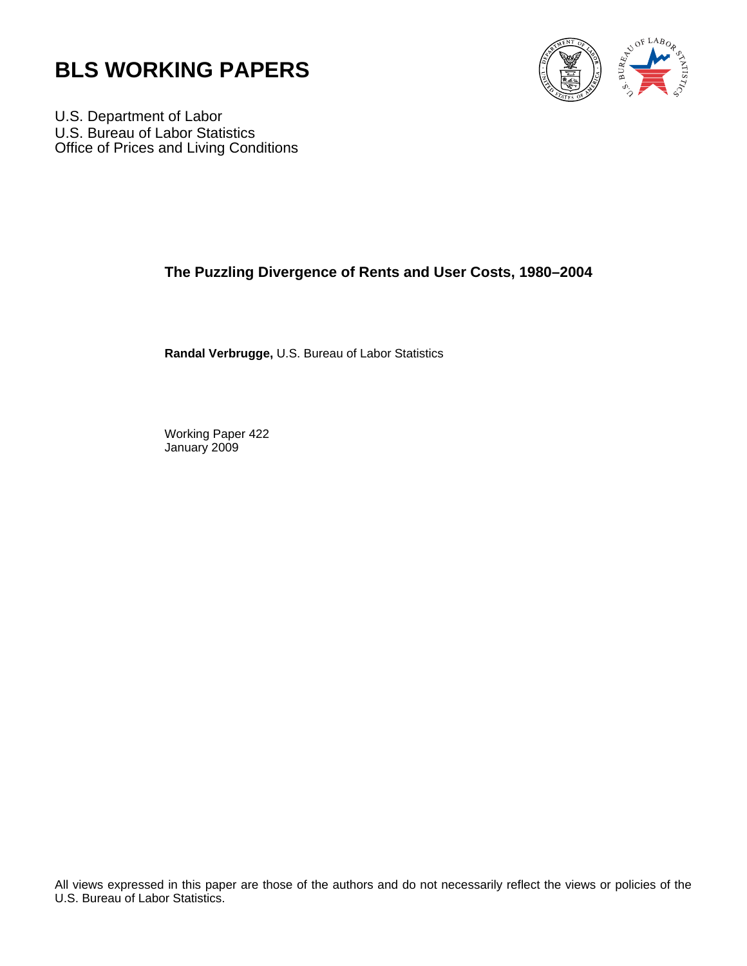



U.S. Department of Labor U.S. Bureau of Labor Statistics Office of Prices and Living Conditions

# **The Puzzling Divergence of Rents and User Costs, 1980–2004**

**Randal Verbrugge,** U.S. Bureau of Labor Statistics

Working Paper 422 January 2009

All views expressed in this paper are those of the authors and do not necessarily reflect the views or policies of the U.S. Bureau of Labor Statistics.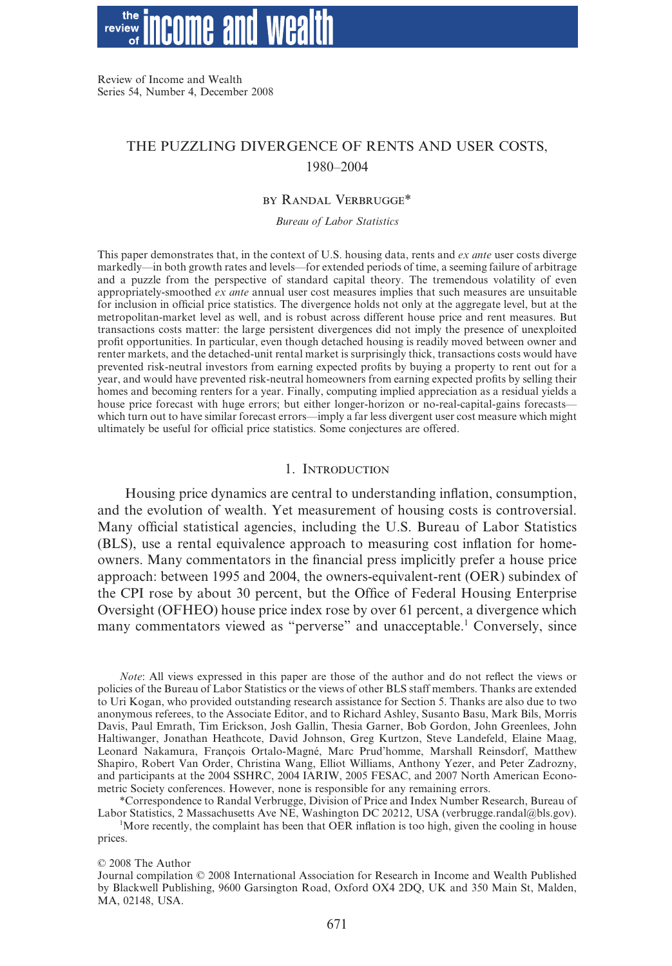

Review of Income and Wealth Series 54, Number 4, December 2008

# THE PUZZLING DIVERGENCE OF RENTS AND USER COSTS, 1980–2004

#### by Randal Verbrugge\*

#### *Bureau of Labor Statistics*

This paper demonstrates that, in the context of U.S. housing data, rents and *ex ante* user costs diverge markedly—in both growth rates and levels—for extended periods of time, a seeming failure of arbitrage and a puzzle from the perspective of standard capital theory. The tremendous volatility of even appropriately-smoothed *ex ante* annual user cost measures implies that such measures are unsuitable for inclusion in official price statistics. The divergence holds not only at the aggregate level, but at the metropolitan-market level as well, and is robust across different house price and rent measures. But transactions costs matter: the large persistent divergences did not imply the presence of unexploited profit opportunities. In particular, even though detached housing is readily moved between owner and renter markets, and the detached-unit rental market is surprisingly thick, transactions costs would have prevented risk-neutral investors from earning expected profits by buying a property to rent out for a year, and would have prevented risk-neutral homeowners from earning expected profits by selling their homes and becoming renters for a year. Finally, computing implied appreciation as a residual yields a house price forecast with huge errors; but either longer-horizon or no-real-capital-gains forecasts which turn out to have similar forecast errors—imply a far less divergent user cost measure which might ultimately be useful for official price statistics. Some conjectures are offered.

#### 1. Introduction

Housing price dynamics are central to understanding inflation, consumption, and the evolution of wealth. Yet measurement of housing costs is controversial. Many official statistical agencies, including the U.S. Bureau of Labor Statistics (BLS), use a rental equivalence approach to measuring cost inflation for homeowners. Many commentators in the financial press implicitly prefer a house price approach: between 1995 and 2004, the owners-equivalent-rent (OER) subindex of the CPI rose by about 30 percent, but the Office of Federal Housing Enterprise Oversight (OFHEO) house price index rose by over 61 percent, a divergence which many commentators viewed as "perverse" and unacceptable.<sup>1</sup> Conversely, since

*Note*: All views expressed in this paper are those of the author and do not reflect the views or policies of the Bureau of Labor Statistics or the views of other BLS staff members. Thanks are extended to Uri Kogan, who provided outstanding research assistance for Section 5. Thanks are also due to two anonymous referees, to the Associate Editor, and to Richard Ashley, Susanto Basu, Mark Bils, Morris Davis, Paul Emrath, Tim Erickson, Josh Gallin, Thesia Garner, Bob Gordon, John Greenlees, John Haltiwanger, Jonathan Heathcote, David Johnson, Greg Kurtzon, Steve Landefeld, Elaine Maag, Leonard Nakamura, François Ortalo-Magné, Marc Prud'homme, Marshall Reinsdorf, Matthew Shapiro, Robert Van Order, Christina Wang, Elliot Williams, Anthony Yezer, and Peter Zadrozny, and participants at the 2004 SSHRC, 2004 IARIW, 2005 FESAC, and 2007 North American Econometric Society conferences. However, none is responsible for any remaining errors.

\*Correspondence to Randal Verbrugge, Division of Price and Index Number Research, Bureau of Labor Statistics, 2 Massachusetts Ave NE, Washington DC 20212, USA (verbrugge.[randal@bls.gov](mailto:randal@bls.gov)).

<sup>1</sup>More recently, the complaint has been that OER inflation is too high, given the cooling in house prices.

© 2008 The Author

Journal compilation © 2008 International Association for Research in Income and Wealth Published by Blackwell Publishing, 9600 Garsington Road, Oxford OX4 2DQ, UK and 350 Main St, Malden, MA, 02148, USA.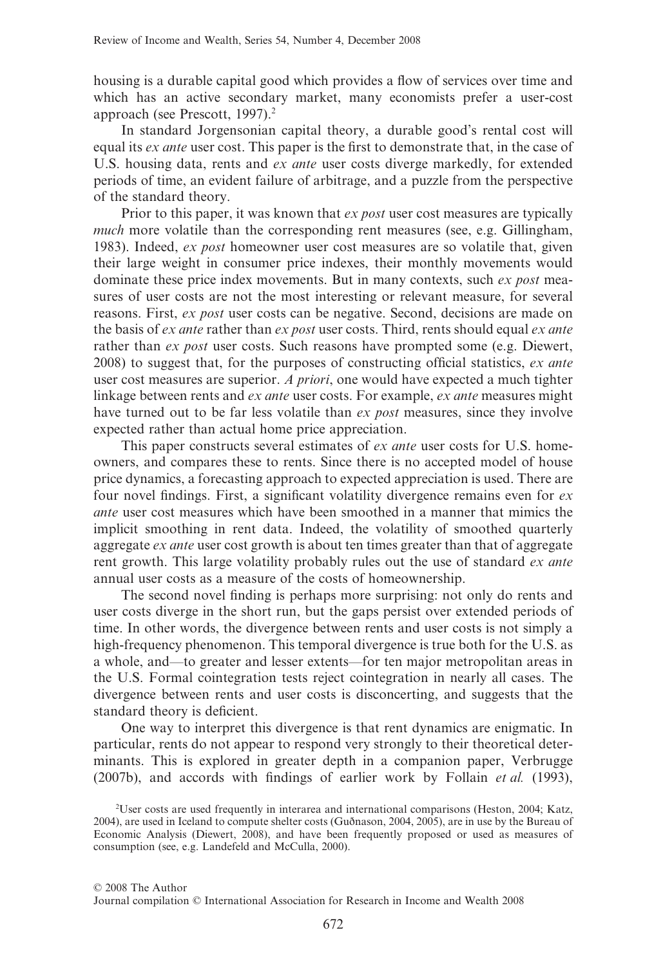housing is a durable capital good which provides a flow of services over time and which has an active secondary market, many economists prefer a user-cost approach (see Prescott, 1997).<sup>2</sup>

In standard Jorgensonian capital theory, a durable good's rental cost will equal its *ex ante* user cost. This paper is the first to demonstrate that, in the case of U.S. housing data, rents and *ex ante* user costs diverge markedly, for extended periods of time, an evident failure of arbitrage, and a puzzle from the perspective of the standard theory.

Prior to this paper, it was known that *ex post* user cost measures are typically *much* more volatile than the corresponding rent measures (see, e.g. Gillingham, 1983). Indeed, *ex post* homeowner user cost measures are so volatile that, given their large weight in consumer price indexes, their monthly movements would dominate these price index movements. But in many contexts, such *ex post* measures of user costs are not the most interesting or relevant measure, for several reasons. First, *ex post* user costs can be negative. Second, decisions are made on the basis of *ex ante* rather than *ex post* user costs. Third, rents should equal *ex ante* rather than *ex post* user costs. Such reasons have prompted some (e.g. Diewert, 2008) to suggest that, for the purposes of constructing official statistics, *ex ante* user cost measures are superior. *A priori*, one would have expected a much tighter linkage between rents and *ex ante* user costs. For example, *ex ante* measures might have turned out to be far less volatile than *ex post* measures, since they involve expected rather than actual home price appreciation.

This paper constructs several estimates of *ex ante* user costs for U.S. homeowners, and compares these to rents. Since there is no accepted model of house price dynamics, a forecasting approach to expected appreciation is used. There are four novel findings. First, a significant volatility divergence remains even for *ex ante* user cost measures which have been smoothed in a manner that mimics the implicit smoothing in rent data. Indeed, the volatility of smoothed quarterly aggregate *ex ante* user cost growth is about ten times greater than that of aggregate rent growth. This large volatility probably rules out the use of standard *ex ante* annual user costs as a measure of the costs of homeownership.

The second novel finding is perhaps more surprising: not only do rents and user costs diverge in the short run, but the gaps persist over extended periods of time. In other words, the divergence between rents and user costs is not simply a high-frequency phenomenon. This temporal divergence is true both for the U.S. as a whole, and—to greater and lesser extents—for ten major metropolitan areas in the U.S. Formal cointegration tests reject cointegration in nearly all cases. The divergence between rents and user costs is disconcerting, and suggests that the standard theory is deficient.

One way to interpret this divergence is that rent dynamics are enigmatic. In particular, rents do not appear to respond very strongly to their theoretical determinants. This is explored in greater depth in a companion paper, Verbrugge (2007b), and accords with findings of earlier work by Follain *et al.* (1993),

<sup>2</sup> User costs are used frequently in interarea and international comparisons (Heston, 2004; Katz, 2004), are used in Iceland to compute shelter costs (Guðnason, 2004, 2005), are in use by the Bureau of Economic Analysis (Diewert, 2008), and have been frequently proposed or used as measures of consumption (see, e.g. Landefeld and McCulla, 2000).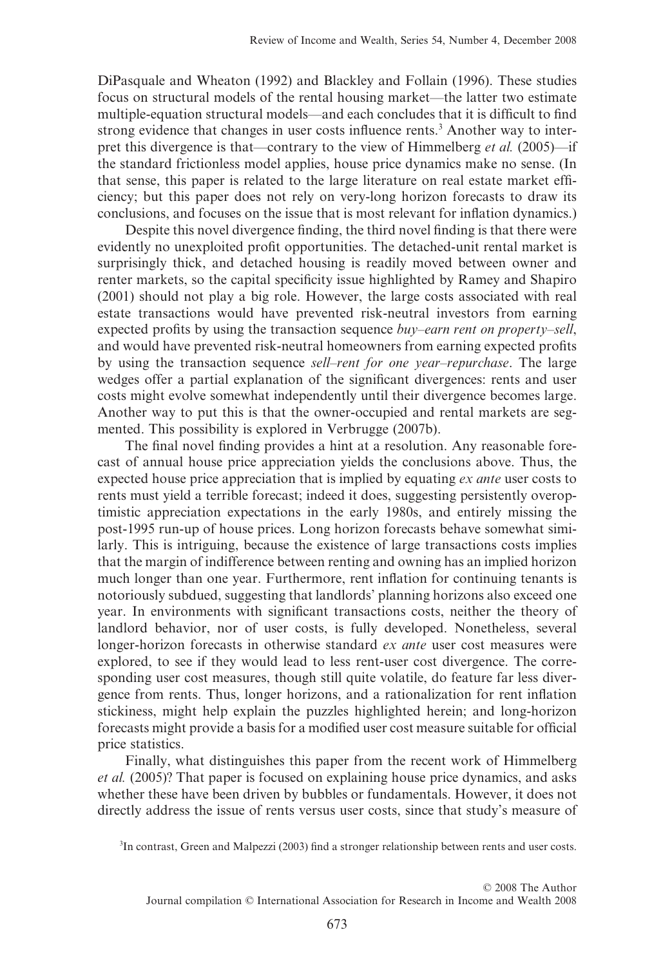DiPasquale and Wheaton (1992) and Blackley and Follain (1996). These studies focus on structural models of the rental housing market—the latter two estimate multiple-equation structural models—and each concludes that it is difficult to find strong evidence that changes in user costs influence rents.<sup>3</sup> Another way to interpret this divergence is that—contrary to the view of Himmelberg *et al.* (2005)—if the standard frictionless model applies, house price dynamics make no sense. (In that sense, this paper is related to the large literature on real estate market efficiency; but this paper does not rely on very-long horizon forecasts to draw its conclusions, and focuses on the issue that is most relevant for inflation dynamics.)

Despite this novel divergence finding, the third novel finding is that there were evidently no unexploited profit opportunities. The detached-unit rental market is surprisingly thick, and detached housing is readily moved between owner and renter markets, so the capital specificity issue highlighted by Ramey and Shapiro (2001) should not play a big role. However, the large costs associated with real estate transactions would have prevented risk-neutral investors from earning expected profits by using the transaction sequence *buy–earn rent on property–sell*, and would have prevented risk-neutral homeowners from earning expected profits by using the transaction sequence *sell–rent for one year–repurchase*. The large wedges offer a partial explanation of the significant divergences: rents and user costs might evolve somewhat independently until their divergence becomes large. Another way to put this is that the owner-occupied and rental markets are segmented. This possibility is explored in Verbrugge (2007b).

The final novel finding provides a hint at a resolution. Any reasonable forecast of annual house price appreciation yields the conclusions above. Thus, the expected house price appreciation that is implied by equating *ex ante* user costs to rents must yield a terrible forecast; indeed it does, suggesting persistently overoptimistic appreciation expectations in the early 1980s, and entirely missing the post-1995 run-up of house prices. Long horizon forecasts behave somewhat similarly. This is intriguing, because the existence of large transactions costs implies that the margin of indifference between renting and owning has an implied horizon much longer than one year. Furthermore, rent inflation for continuing tenants is notoriously subdued, suggesting that landlords' planning horizons also exceed one year. In environments with significant transactions costs, neither the theory of landlord behavior, nor of user costs, is fully developed. Nonetheless, several longer-horizon forecasts in otherwise standard *ex ante* user cost measures were explored, to see if they would lead to less rent-user cost divergence. The corresponding user cost measures, though still quite volatile, do feature far less divergence from rents. Thus, longer horizons, and a rationalization for rent inflation stickiness, might help explain the puzzles highlighted herein; and long-horizon forecasts might provide a basis for a modified user cost measure suitable for official price statistics.

Finally, what distinguishes this paper from the recent work of Himmelberg *et al.* (2005)? That paper is focused on explaining house price dynamics, and asks whether these have been driven by bubbles or fundamentals. However, it does not directly address the issue of rents versus user costs, since that study's measure of

3 In contrast, Green and Malpezzi (2003) find a stronger relationship between rents and user costs.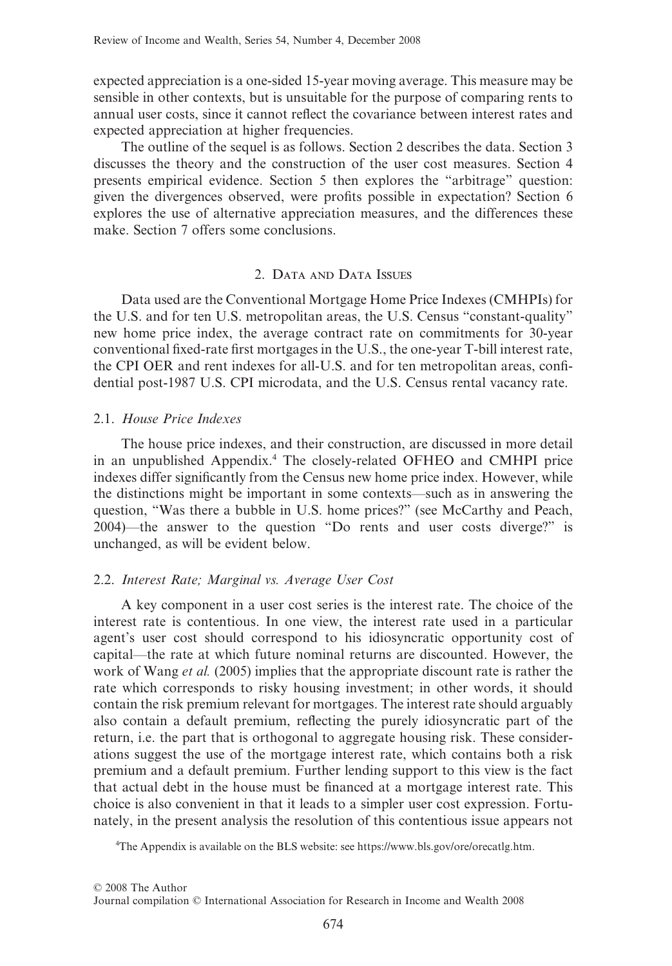expected appreciation is a one-sided 15-year moving average. This measure may be sensible in other contexts, but is unsuitable for the purpose of comparing rents to annual user costs, since it cannot reflect the covariance between interest rates and expected appreciation at higher frequencies.

The outline of the sequel is as follows. Section 2 describes the data. Section 3 discusses the theory and the construction of the user cost measures. Section 4 presents empirical evidence. Section 5 then explores the "arbitrage" question: given the divergences observed, were profits possible in expectation? Section 6 explores the use of alternative appreciation measures, and the differences these make. Section 7 offers some conclusions.

## 2. Data and Data Issues

Data used are the Conventional Mortgage Home Price Indexes (CMHPIs) for the U.S. and for ten U.S. metropolitan areas, the U.S. Census "constant-quality" new home price index, the average contract rate on commitments for 30-year conventional fixed-rate first mortgages in the U.S., the one-year T-bill interest rate, the CPI OER and rent indexes for all-U.S. and for ten metropolitan areas, confidential post-1987 U.S. CPI microdata, and the U.S. Census rental vacancy rate.

### 2.1. *House Price Indexes*

The house price indexes, and their construction, are discussed in more detail in an unpublished Appendix.4 The closely-related OFHEO and CMHPI price indexes differ significantly from the Census new home price index. However, while the distinctions might be important in some contexts—such as in answering the question, "Was there a bubble in U.S. home prices?" (see McCarthy and Peach, 2004)—the answer to the question "Do rents and user costs diverge?" is unchanged, as will be evident below.

#### 2.2. *Interest Rate; Marginal vs. Average User Cost*

A key component in a user cost series is the interest rate. The choice of the interest rate is contentious. In one view, the interest rate used in a particular agent's user cost should correspond to his idiosyncratic opportunity cost of capital—the rate at which future nominal returns are discounted. However, the work of Wang *et al.* (2005) implies that the appropriate discount rate is rather the rate which corresponds to risky housing investment; in other words, it should contain the risk premium relevant for mortgages. The interest rate should arguably also contain a default premium, reflecting the purely idiosyncratic part of the return, i.e. the part that is orthogonal to aggregate housing risk. These considerations suggest the use of the mortgage interest rate, which contains both a risk premium and a default premium. Further lending support to this view is the fact that actual debt in the house must be financed at a mortgage interest rate. This choice is also convenient in that it leads to a simpler user cost expression. Fortunately, in the present analysis the resolution of this contentious issue appears not

4 The Appendix is available on the BLS website: see [https://www.bls.gov/ore/orecatlg.htm.](http://www.bls.gov/ore/orecatlg.htm)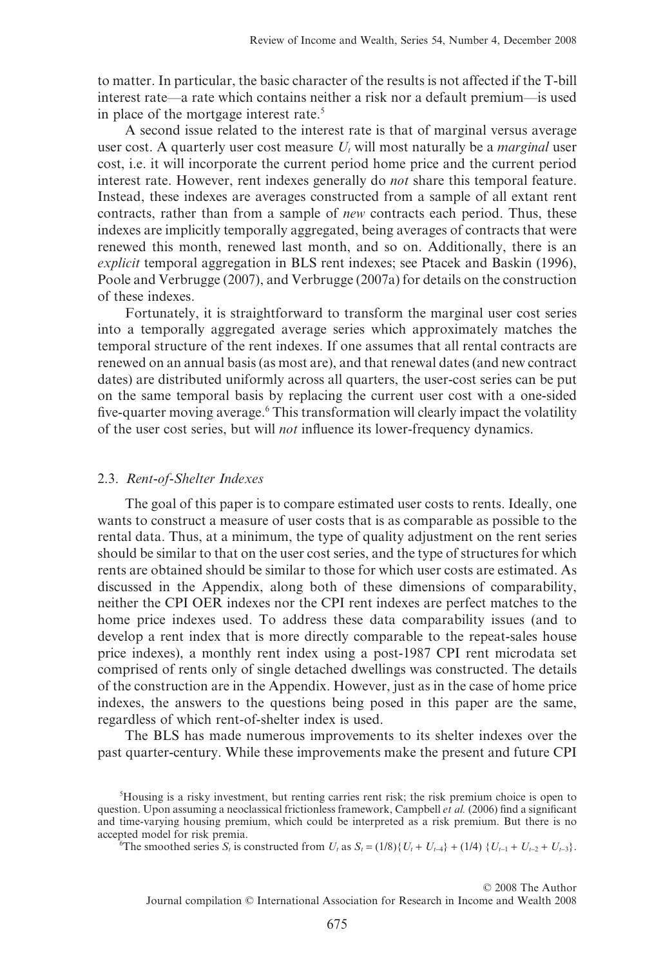to matter. In particular, the basic character of the results is not affected if the T-bill interest rate—a rate which contains neither a risk nor a default premium—is used in place of the mortgage interest rate.<sup>5</sup>

A second issue related to the interest rate is that of marginal versus average user cost. A quarterly user cost measure  $U_t$  will most naturally be a *marginal* user cost, i.e. it will incorporate the current period home price and the current period interest rate. However, rent indexes generally do *not* share this temporal feature. Instead, these indexes are averages constructed from a sample of all extant rent contracts, rather than from a sample of *new* contracts each period. Thus, these indexes are implicitly temporally aggregated, being averages of contracts that were renewed this month, renewed last month, and so on. Additionally, there is an *explicit* temporal aggregation in BLS rent indexes; see Ptacek and Baskin (1996), Poole and Verbrugge (2007), and Verbrugge (2007a) for details on the construction of these indexes.

Fortunately, it is straightforward to transform the marginal user cost series into a temporally aggregated average series which approximately matches the temporal structure of the rent indexes. If one assumes that all rental contracts are renewed on an annual basis (as most are), and that renewal dates (and new contract dates) are distributed uniformly across all quarters, the user-cost series can be put on the same temporal basis by replacing the current user cost with a one-sided five-quarter moving average.<sup>6</sup> This transformation will clearly impact the volatility of the user cost series, but will *not* influence its lower-frequency dynamics.

#### 2.3. *Rent-of-Shelter Indexes*

The goal of this paper is to compare estimated user costs to rents. Ideally, one wants to construct a measure of user costs that is as comparable as possible to the rental data. Thus, at a minimum, the type of quality adjustment on the rent series should be similar to that on the user cost series, and the type of structures for which rents are obtained should be similar to those for which user costs are estimated. As discussed in the Appendix, along both of these dimensions of comparability, neither the CPI OER indexes nor the CPI rent indexes are perfect matches to the home price indexes used. To address these data comparability issues (and to develop a rent index that is more directly comparable to the repeat-sales house price indexes), a monthly rent index using a post-1987 CPI rent microdata set comprised of rents only of single detached dwellings was constructed. The details of the construction are in the Appendix. However, just as in the case of home price indexes, the answers to the questions being posed in this paper are the same, regardless of which rent-of-shelter index is used.

The BLS has made numerous improvements to its shelter indexes over the past quarter-century. While these improvements make the present and future CPI

The smoothed series  $S_t$  is constructed from  $U_t$  as  $S_t = (1/8)\{U_t + U_{t-4}\} + (1/4)\{U_{t-1} + U_{t-2} + U_{t-3}\}.$ 

<sup>5</sup> Housing is a risky investment, but renting carries rent risk; the risk premium choice is open to question. Upon assuming a neoclassical frictionless framework, Campbell *et al.* (2006) find a significant and time-varying housing premium, which could be interpreted as a risk premium. But there is no accepted model for risk premia.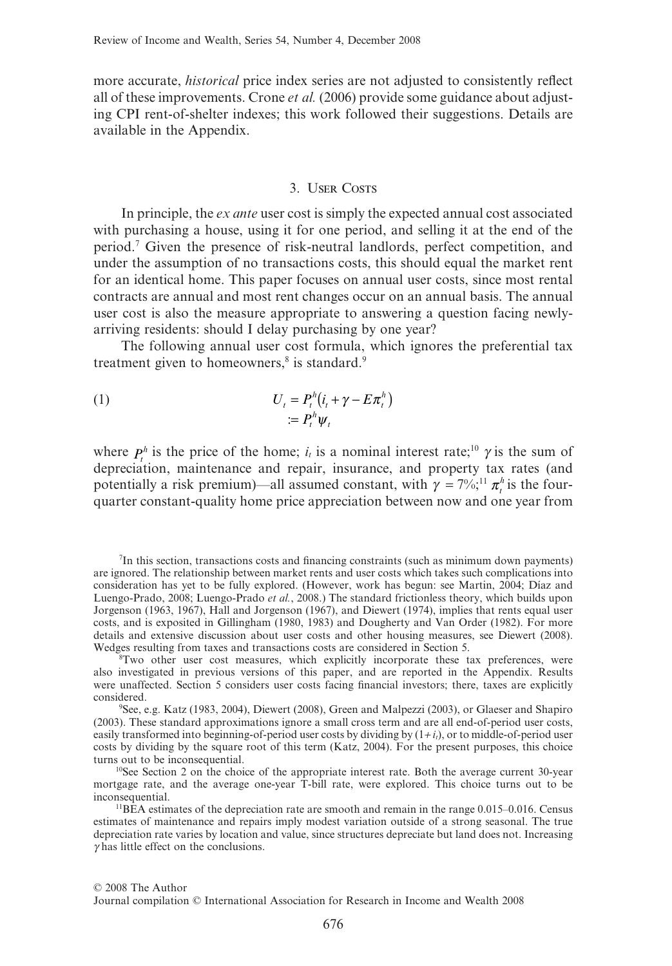more accurate, *historical* price index series are not adjusted to consistently reflect all of these improvements. Crone *et al.* (2006) provide some guidance about adjusting CPI rent-of-shelter indexes; this work followed their suggestions. Details are available in the Appendix.

## 3. USER COSTS

In principle, the *ex ante* user cost is simply the expected annual cost associated with purchasing a house, using it for one period, and selling it at the end of the period.7 Given the presence of risk-neutral landlords, perfect competition, and under the assumption of no transactions costs, this should equal the market rent for an identical home. This paper focuses on annual user costs, since most rental contracts are annual and most rent changes occur on an annual basis. The annual user cost is also the measure appropriate to answering a question facing newlyarriving residents: should I delay purchasing by one year?

The following annual user cost formula, which ignores the preferential tax treatment given to homeowners, $8$  is standard. $9$ 

(1) 
$$
U_t = P_t^h(i_t + \gamma - E\pi_t^h)
$$

$$
:= P_t^h \Psi_t
$$

where  $P_t^h$  is the price of the home;  $i_t$  is a nominal interest rate;<sup>10</sup>  $\gamma$  is the sum of depreciation, maintenance and repair, insurance, and property tax rates (and potentially a risk premium)—all assumed constant, with  $\gamma = 7\frac{6}{11} \pi_t^h$  is the fourquarter constant-quality home price appreciation between now and one year from

7 In this section, transactions costs and financing constraints (such as minimum down payments) are ignored. The relationship between market rents and user costs which takes such complications into consideration has yet to be fully explored. (However, work has begun: see Martin, 2004; Díaz and Luengo-Prado, 2008; Luengo-Prado *et al.*, 2008.) The standard frictionless theory, which builds upon Jorgenson (1963, 1967), Hall and Jorgenson (1967), and Diewert (1974), implies that rents equal user costs, and is exposited in Gillingham (1980, 1983) and Dougherty and Van Order (1982). For more details and extensive discussion about user costs and other housing measures, see Diewert (2008). Wedges resulting from taxes and transactions costs are considered in Section 5.

8 Two other user cost measures, which explicitly incorporate these tax preferences, were also investigated in previous versions of this paper, and are reported in the Appendix. Results were unaffected. Section 5 considers user costs facing financial investors; there, taxes are explicitly considered.

9 See, e.g. Katz (1983, 2004), Diewert (2008), Green and Malpezzi (2003), or Glaeser and Shapiro (2003). These standard approximations ignore a small cross term and are all end-of-period user costs, easily transformed into beginning-of-period user costs by dividing by  $(1 + i<sub>t</sub>)$ , or to middle-of-period user costs by dividing by the square root of this term (Katz, 2004). For the present purposes, this choice turns out to be inconsequential.

 $10$ See Section 2 on the choice of the appropriate interest rate. Both the average current 30-year mortgage rate, and the average one-year T-bill rate, were explored. This choice turns out to be inconsequential.

 $11$ BEA estimates of the depreciation rate are smooth and remain in the range 0.015–0.016. Census estimates of maintenance and repairs imply modest variation outside of a strong seasonal. The true depreciation rate varies by location and value, since structures depreciate but land does not. Increasing  $\gamma$  has little effect on the conclusions.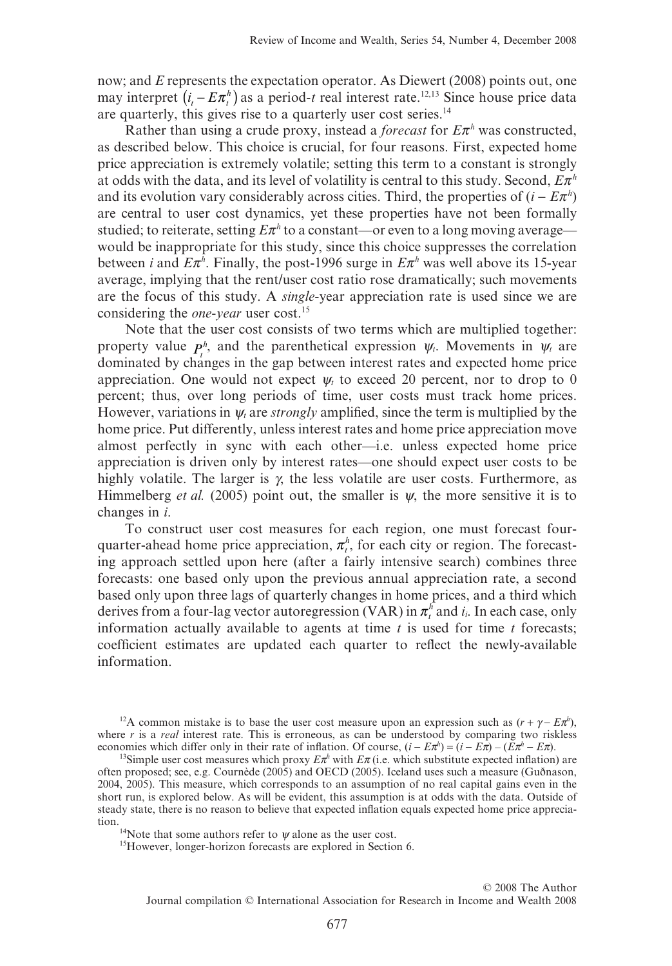now; and *E* represents the expectation operator. As Diewert (2008) points out, one may interpret  $(i_t - E\pi_t^h)$  as a period-*t* real interest rate.<sup>12,13</sup> Since house price data are quarterly, this gives rise to a quarterly user cost series.14

Rather than using a crude proxy, instead a *forecast* for  $E\pi^{h}$  was constructed, as described below. This choice is crucial, for four reasons. First, expected home price appreciation is extremely volatile; setting this term to a constant is strongly at odds with the data, and its level of volatility is central to this study. Second,  $E\pi<sup>h</sup>$ and its evolution vary considerably across cities. Third, the properties of  $(i - E\pi^h)$ are central to user cost dynamics, yet these properties have not been formally studied; to reiterate, setting  $E\pi^{h}$  to a constant—or even to a long moving average would be inappropriate for this study, since this choice suppresses the correlation between *i* and  $E\pi$ <sup>*h*</sup>. Finally, the post-1996 surge in  $E\pi$ <sup>*h*</sup> was well above its 15-year average, implying that the rent/user cost ratio rose dramatically; such movements are the focus of this study. A *single*-year appreciation rate is used since we are considering the *one-year* user cost.<sup>15</sup>

Note that the user cost consists of two terms which are multiplied together: property value  $P_t^h$ , and the parenthetical expression  $\psi_t$ . Movements in  $\psi_t$  are dominated by changes in the gap between interest rates and expected home price appreciation. One would not expect  $\psi_t$  to exceed 20 percent, nor to drop to 0 percent; thus, over long periods of time, user costs must track home prices. However, variations in  $\psi_t$  are *strongly* amplified, since the term is multiplied by the home price. Put differently, unless interest rates and home price appreciation move almost perfectly in sync with each other—i.e. unless expected home price appreciation is driven only by interest rates—one should expect user costs to be highly volatile. The larger is  $\gamma$ , the less volatile are user costs. Furthermore, as Himmelberg *et al.* (2005) point out, the smaller is  $\psi$ , the more sensitive it is to changes in *i*.

To construct user cost measures for each region, one must forecast fourquarter-ahead home price appreciation,  $\pi_h^h$ , for each city or region. The forecasting approach settled upon here (after a fairly intensive search) combines three forecasts: one based only upon the previous annual appreciation rate, a second based only upon three lags of quarterly changes in home prices, and a third which derives from a four-lag vector autoregression (VAR) in  $\pi_t^h$  and  $i_i$ . In each case, only information actually available to agents at time *t* is used for time *t* forecasts; coefficient estimates are updated each quarter to reflect the newly-available information.

15However, longer-horizon forecasts are explored in Section 6.

<sup>&</sup>lt;sup>12</sup>A common mistake is to base the user cost measure upon an expression such as  $(r + \gamma - E\pi^h)$ , where *r* is a *real* interest rate. This is erroneous, as can be understood by comparing two riskless economies which differ only in their rate of inflation. Of course,  $(i - E\pi)^{h} = (i - E\pi) - (E\pi^{h} - E\pi)$ .

<sup>&</sup>lt;sup>13</sup>Simple user cost measures which proxy  $E\pi^h$  with  $E\pi$  (i.e. which substitute expected inflation) are often proposed; see, e.g. Cournède (2005) and OECD (2005). Iceland uses such a measure (Guðnason, 2004, 2005). This measure, which corresponds to an assumption of no real capital gains even in the short run, is explored below. As will be evident, this assumption is at odds with the data. Outside of steady state, there is no reason to believe that expected inflation equals expected home price appreciation.<br><sup>14</sup>Note that some authors refer to  $\psi$  alone as the user cost.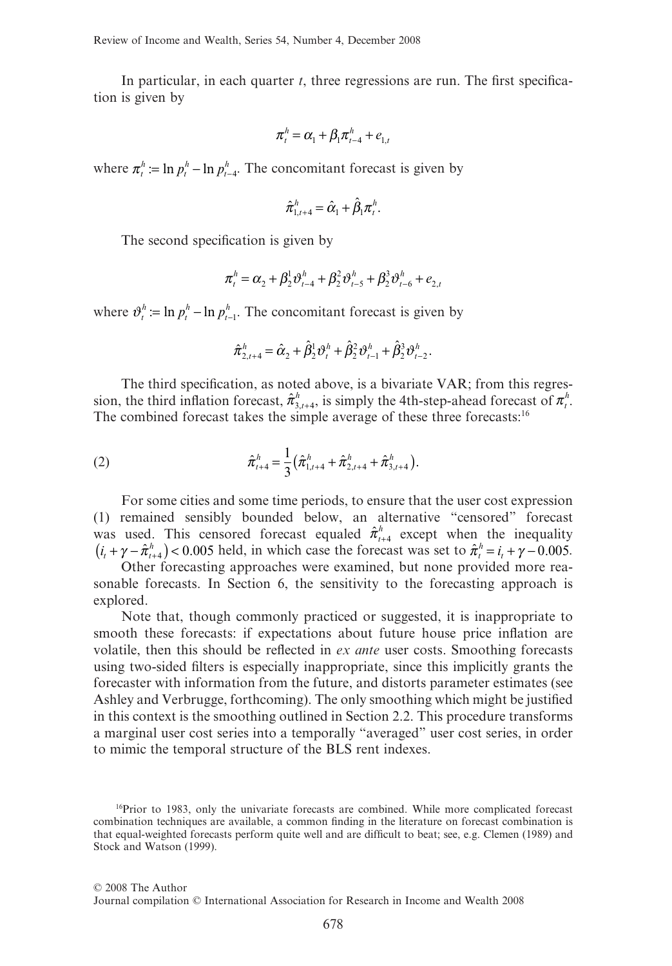In particular, in each quarter *t*, three regressions are run. The first specification is given by

$$
\pi_t^h = \alpha_1 + \beta_1 \pi_{t-4}^h + e_{1,t}
$$

where  $\pi_t^h := \ln p_t^h - \ln p_{t-4}^h$ . The concomitant forecast is given by

$$
\hat{\pi}_{1,t+4}^h = \hat{\alpha}_1 + \hat{\beta}_1 \pi_t^h.
$$

The second specification is given by

$$
\pi_t^h = \alpha_2 + \beta_2^1 \vartheta_{t-4}^h + \beta_2^2 \vartheta_{t-5}^h + \beta_2^3 \vartheta_{t-6}^h + e_{2,t}
$$

where  $\vartheta_t^h := \ln p_t^h - \ln p_{t-1}^h$ . The concomitant forecast is given by

$$
\hat{\pi}_{2,t+4}^h = \hat{\alpha}_2 + \hat{\beta}_2^1 \vartheta_t^h + \hat{\beta}_2^2 \vartheta_{t-1}^h + \hat{\beta}_2^3 \vartheta_{t-2}^h.
$$

The third specification, as noted above, is a bivariate VAR; from this regression, the third inflation forecast,  $\hat{\pi}_{3,t+4}^h$ , is simply the 4th-step-ahead forecast of  $\pi_t^h$ . The combined forecast takes the simple average of these three forecasts:<sup>16</sup>

(2) 
$$
\hat{\pi}_{t+4}^h = \frac{1}{3} \left( \hat{\pi}_{1,t+4}^h + \hat{\pi}_{2,t+4}^h + \hat{\pi}_{3,t+4}^h \right).
$$

For some cities and some time periods, to ensure that the user cost expression (1) remained sensibly bounded below, an alternative "censored" forecast was used. This censored forecast equaled  $\hat{\pi}_{t+4}^h$  except when the inequality  $(i_t + \gamma - \hat{\pi}_{t+4}^h)$  < 0.005 held, in which case the forecast was set to  $\hat{\pi}_t^h = i_t + \gamma - 0.005$ .

Other forecasting approaches were examined, but none provided more reasonable forecasts. In Section 6, the sensitivity to the forecasting approach is explored.

Note that, though commonly practiced or suggested, it is inappropriate to smooth these forecasts: if expectations about future house price inflation are volatile, then this should be reflected in *ex ante* user costs. Smoothing forecasts using two-sided filters is especially inappropriate, since this implicitly grants the forecaster with information from the future, and distorts parameter estimates (see Ashley and Verbrugge, forthcoming). The only smoothing which might be justified in this context is the smoothing outlined in Section 2.2. This procedure transforms a marginal user cost series into a temporally "averaged" user cost series, in order to mimic the temporal structure of the BLS rent indexes.

<sup>&</sup>lt;sup>16</sup>Prior to 1983, only the univariate forecasts are combined. While more complicated forecast combination techniques are available, a common finding in the literature on forecast combination is that equal-weighted forecasts perform quite well and are difficult to beat; see, e.g. Clemen (1989) and Stock and Watson (1999).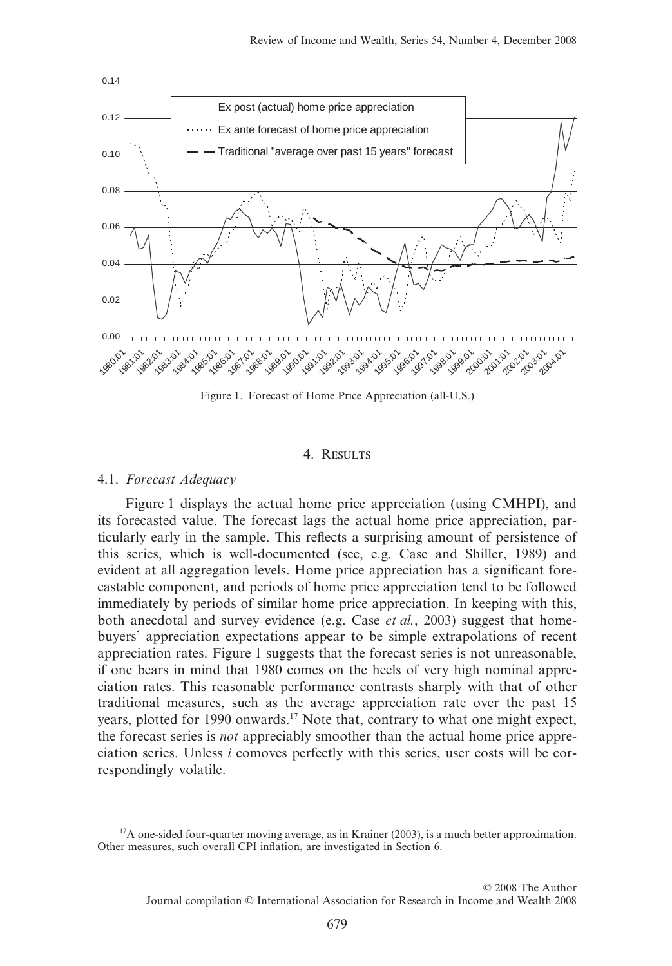

Figure 1. Forecast of Home Price Appreciation (all-U.S.)

#### 4 RESULTS

#### 4.1. *Forecast Adequacy*

Figure 1 displays the actual home price appreciation (using CMHPI), and its forecasted value. The forecast lags the actual home price appreciation, particularly early in the sample. This reflects a surprising amount of persistence of this series, which is well-documented (see, e.g. Case and Shiller, 1989) and evident at all aggregation levels. Home price appreciation has a significant forecastable component, and periods of home price appreciation tend to be followed immediately by periods of similar home price appreciation. In keeping with this, both anecdotal and survey evidence (e.g. Case *et al.*, 2003) suggest that homebuyers' appreciation expectations appear to be simple extrapolations of recent appreciation rates. Figure 1 suggests that the forecast series is not unreasonable, if one bears in mind that 1980 comes on the heels of very high nominal appreciation rates. This reasonable performance contrasts sharply with that of other traditional measures, such as the average appreciation rate over the past 15 years, plotted for 1990 onwards.<sup>17</sup> Note that, contrary to what one might expect, the forecast series is *not* appreciably smoother than the actual home price appreciation series. Unless *i* comoves perfectly with this series, user costs will be correspondingly volatile.

<sup>&</sup>lt;sup>17</sup>A one-sided four-quarter moving average, as in Krainer (2003), is a much better approximation. Other measures, such overall CPI inflation, are investigated in Section 6.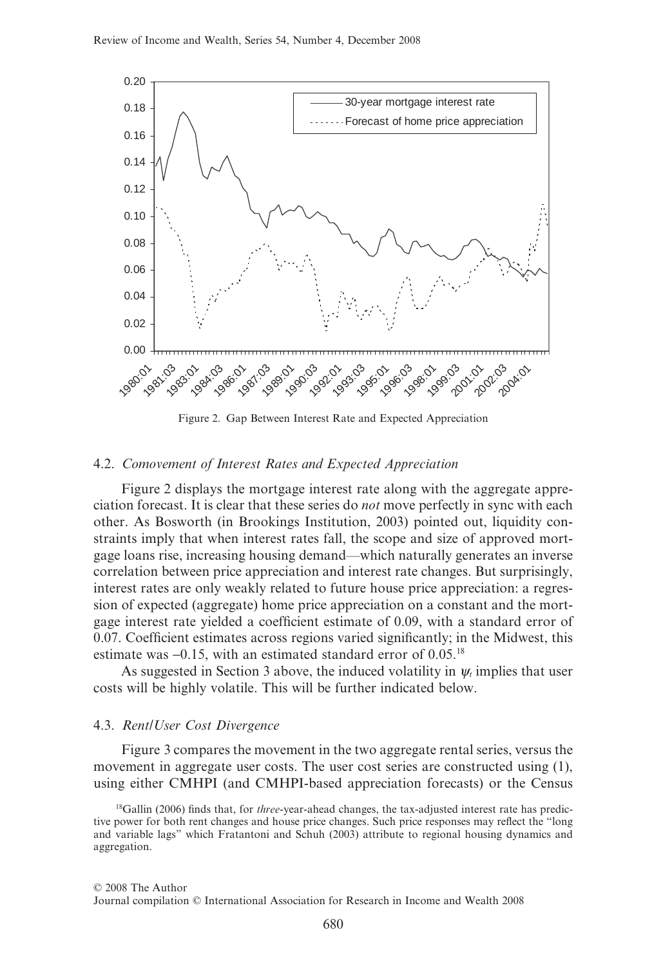

Figure 2. Gap Between Interest Rate and Expected Appreciation

#### 4.2. *Comovement of Interest Rates and Expected Appreciation*

Figure 2 displays the mortgage interest rate along with the aggregate appreciation forecast. It is clear that these series do *not* move perfectly in sync with each other. As Bosworth (in Brookings Institution, 2003) pointed out, liquidity constraints imply that when interest rates fall, the scope and size of approved mortgage loans rise, increasing housing demand—which naturally generates an inverse correlation between price appreciation and interest rate changes. But surprisingly, interest rates are only weakly related to future house price appreciation: a regression of expected (aggregate) home price appreciation on a constant and the mortgage interest rate yielded a coefficient estimate of 0.09, with a standard error of 0.07. Coefficient estimates across regions varied significantly; in the Midwest, this estimate was -0.15, with an estimated standard error of 0.05.<sup>18</sup>

As suggested in Section 3 above, the induced volatility in  $\psi_t$  implies that user costs will be highly volatile. This will be further indicated below.

#### 4.3. *Rent/User Cost Divergence*

Figure 3 compares the movement in the two aggregate rental series, versus the movement in aggregate user costs. The user cost series are constructed using  $(1)$ , using either CMHPI (and CMHPI-based appreciation forecasts) or the Census

<sup>18</sup>Gallin (2006) finds that, for *three*-year-ahead changes, the tax-adjusted interest rate has predictive power for both rent changes and house price changes. Such price responses may reflect the "long and variable lags" which Fratantoni and Schuh (2003) attribute to regional housing dynamics and aggregation.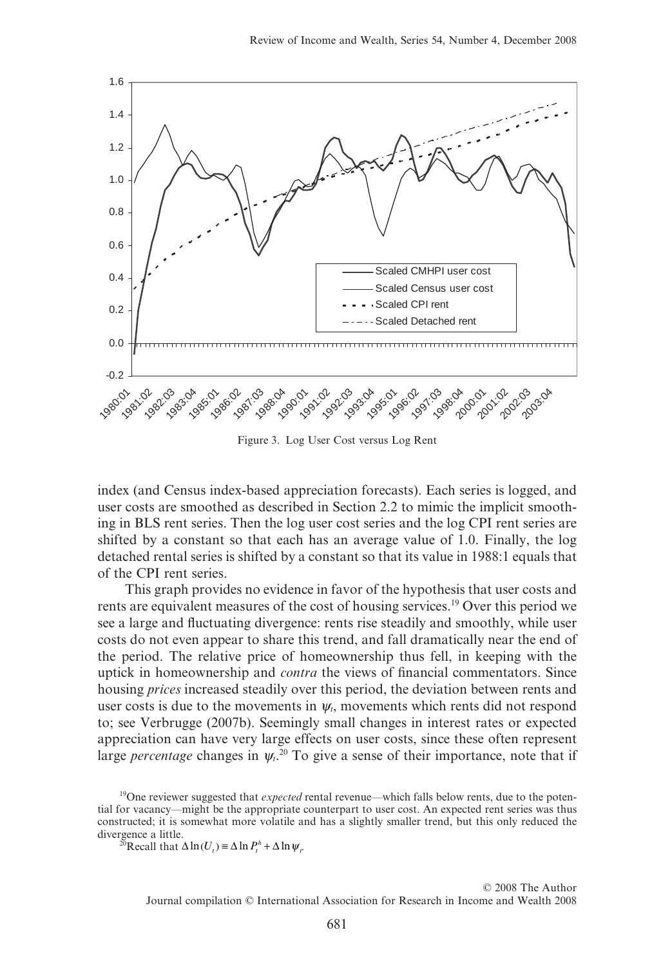

Figure 3. Log User Cost versus Log Rent

index (and Census index-based appreciation forecasts). Each series is logged, and user costs are smoothed as described in Section 2.2 to mimic the implicit smoothing in BLS rent series. Then the log user cost series and the log CPI rent series are shifted by a constant so that each has an average value of 1.0. Finally, the log detached rental series is shifted by a constant so that its value in 1988:1 equals that of the CPI rent series.

This graph provides no evidence in favor of the hypothesis that user costs and rents are equivalent measures of the cost of housing services.19 Over this period we see a large and fluctuating divergence: rents rise steadily and smoothly, while user costs do not even appear to share this trend, and fall dramatically near the end of the period. The relative price of homeownership thus fell, in keeping with the uptick in homeownership and *contra* the views of financial commentators. Since housing *prices* increased steadily over this period, the deviation between rents and user costs is due to the movements in  $\psi$ , movements which rents did not respond to; see Verbrugge (2007b). Seemingly small changes in interest rates or expected appreciation can have very large effects on user costs, since these often represent large *percentage* changes in y*t*. <sup>20</sup> To give a sense of their importance, note that if

<sup>19</sup>One reviewer suggested that *expected* rental revenue—which falls below rents, due to the potential for vacancy—might be the appropriate counterpart to user cost. An expected rent series was thus constructed; it is somewhat more volatile and has a slightly smaller trend, but this only reduced the divergence a little.

<sup>&</sup>lt;sup>20</sup>Recall that  $Δ ln(U_t) ≡ Δ ln P_t^h + Δ ln \psi_t$ .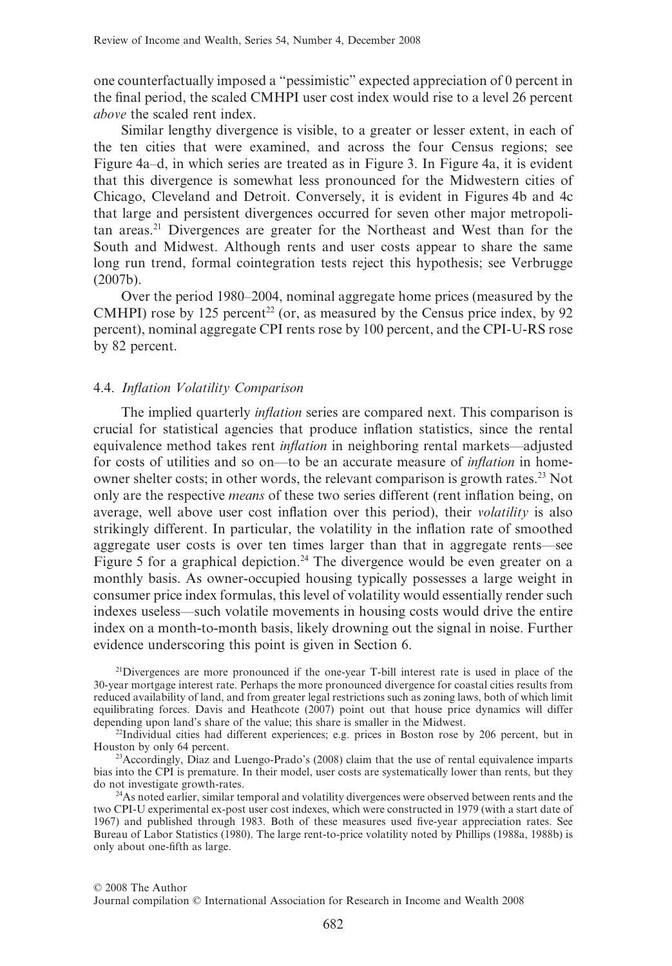one counterfactually imposed a "pessimistic" expected appreciation of 0 percent in the final period, the scaled CMHPI user cost index would rise to a level 26 percent *above* the scaled rent index.

Similar lengthy divergence is visible, to a greater or lesser extent, in each of the ten cities that were examined, and across the four Census regions; see Figure 4a–d, in which series are treated as in Figure 3. In Figure 4a, it is evident that this divergence is somewhat less pronounced for the Midwestern cities of Chicago, Cleveland and Detroit. Conversely, it is evident in Figures 4b and 4c that large and persistent divergences occurred for seven other major metropolitan areas.<sup>21</sup> Divergences are greater for the Northeast and West than for the South and Midwest. Although rents and user costs appear to share the same long run trend, formal cointegration tests reject this hypothesis; see Verbrugge (2007b).

Over the period 1980–2004, nominal aggregate home prices (measured by the CMHPI) rose by 125 percent<sup>22</sup> (or, as measured by the Census price index, by 92 percent), nominal aggregate CPI rents rose by 100 percent, and the CPI-U-RS rose by 82 percent.

### 4.4. *Inflation Volatility Comparison*

The implied quarterly *inflation* series are compared next. This comparison is crucial for statistical agencies that produce inflation statistics, since the rental equivalence method takes rent *inflation* in neighboring rental markets—adjusted for costs of utilities and so on—to be an accurate measure of *inflation* in homeowner shelter costs; in other words, the relevant comparison is growth rates.<sup>23</sup> Not only are the respective *means* of these two series different (rent inflation being, on average, well above user cost inflation over this period), their *volatility* is also strikingly different. In particular, the volatility in the inflation rate of smoothed aggregate user costs is over ten times larger than that in aggregate rents—see Figure 5 for a graphical depiction.<sup>24</sup> The divergence would be even greater on a monthly basis. As owner-occupied housing typically possesses a large weight in consumer price index formulas, this level of volatility would essentially render such indexes useless—such volatile movements in housing costs would drive the entire index on a month-to-month basis, likely drowning out the signal in noise. Further evidence underscoring this point is given in Section 6.

<sup>21</sup>Divergences are more pronounced if the one-year T-bill interest rate is used in place of the 30-year mortgage interest rate. Perhaps the more pronounced divergence for coastal cities results from reduced availability of land, and from greater legal restrictions such as zoning laws, both of which limit equilibrating forces. Davis and Heathcote (2007) point out that house price dynamics will differ depending upon land's share of the value; this share is smaller in the Midwest.

<sup>22</sup>Individual cities had different experiences; e.g. prices in Boston rose by 206 percent, but in Houston by only 64 percent.

<sup>23</sup>Accordingly, Díaz and Luengo-Prado's (2008) claim that the use of rental equivalence imparts bias into the CPI is premature. In their model, user costs are systematically lower than rents, but they do not investigate growth-rates.

<sup>24</sup>As noted earlier, similar temporal and volatility divergences were observed between rents and the two CPI-U experimental ex-post user cost indexes, which were constructed in 1979 (with a start date of 1967) and published through 1983. Both of these measures used five-year appreciation rates. See Bureau of Labor Statistics (1980). The large rent-to-price volatility noted by Phillips (1988a, 1988b) is only about one-fifth as large.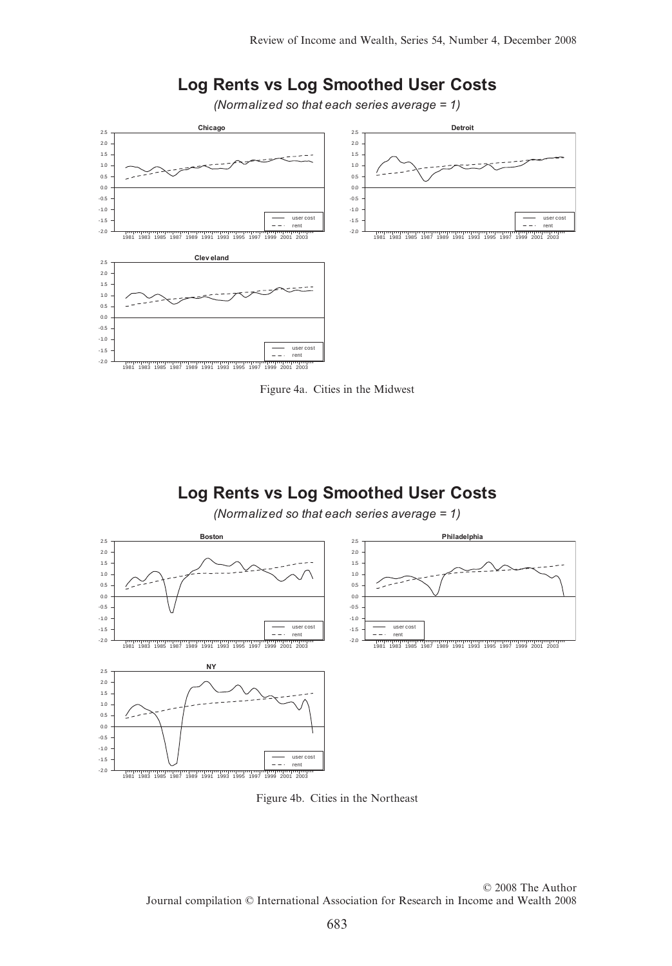# **Log Rents vs Log Smoothed User Costs**

*(Normalized so that each series average = 1)*



Figure 4a. Cities in the Midwest

# **Log Rents vs Log Smoothed User Costs**

*(Normalized so that each series average = 1)*



Figure 4b. Cities in the Northeast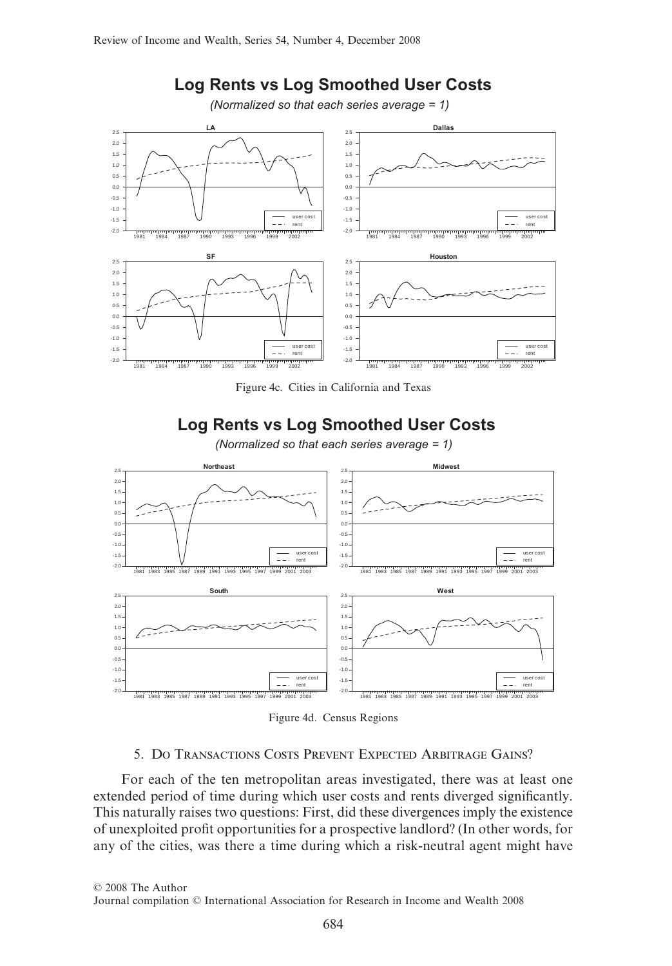

Figure 4c. Cities in California and Texas

# **Log Rents vs Log Smoothed User Costs**

*(Normalized so that each series average = 1)*



Figure 4d. Census Regions

## 5. Do Transactions Costs Prevent Expected Arbitrage Gains?

For each of the ten metropolitan areas investigated, there was at least one extended period of time during which user costs and rents diverged significantly. This naturally raises two questions: First, did these divergences imply the existence of unexploited profit opportunities for a prospective landlord? (In other words, for any of the cities, was there a time during which a risk-neutral agent might have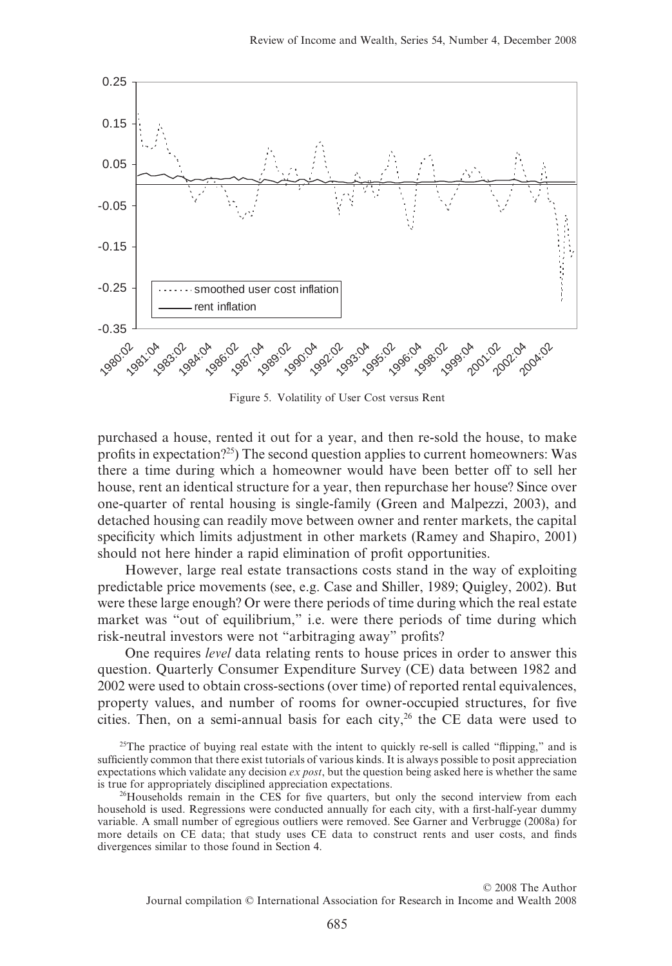

Figure 5. Volatility of User Cost versus Rent

purchased a house, rented it out for a year, and then re-sold the house, to make profits in expectation?25) The second question applies to current homeowners: Was there a time during which a homeowner would have been better off to sell her house, rent an identical structure for a year, then repurchase her house? Since over one-quarter of rental housing is single-family (Green and Malpezzi, 2003), and detached housing can readily move between owner and renter markets, the capital specificity which limits adjustment in other markets (Ramey and Shapiro, 2001) should not here hinder a rapid elimination of profit opportunities.

However, large real estate transactions costs stand in the way of exploiting predictable price movements (see, e.g. Case and Shiller, 1989; Quigley, 2002). But were these large enough? Or were there periods of time during which the real estate market was "out of equilibrium," i.e. were there periods of time during which risk-neutral investors were not "arbitraging away" profits?

One requires *level* data relating rents to house prices in order to answer this question. Quarterly Consumer Expenditure Survey (CE) data between 1982 and 2002 were used to obtain cross-sections (over time) of reported rental equivalences, property values, and number of rooms for owner-occupied structures, for five cities. Then, on a semi-annual basis for each city, $26$  the CE data were used to

<sup>25</sup>The practice of buying real estate with the intent to quickly re-sell is called "flipping," and is sufficiently common that there exist tutorials of various kinds. It is always possible to posit appreciation expectations which validate any decision *ex post*, but the question being asked here is whether the same is true for appropriately disciplined appreciation expectations.

<sup>26</sup>Households remain in the CES for five quarters, but only the second interview from each household is used. Regressions were conducted annually for each city, with a first-half-year dummy variable. A small number of egregious outliers were removed. See Garner and Verbrugge (2008a) for more details on CE data; that study uses CE data to construct rents and user costs, and finds divergences similar to those found in Section 4.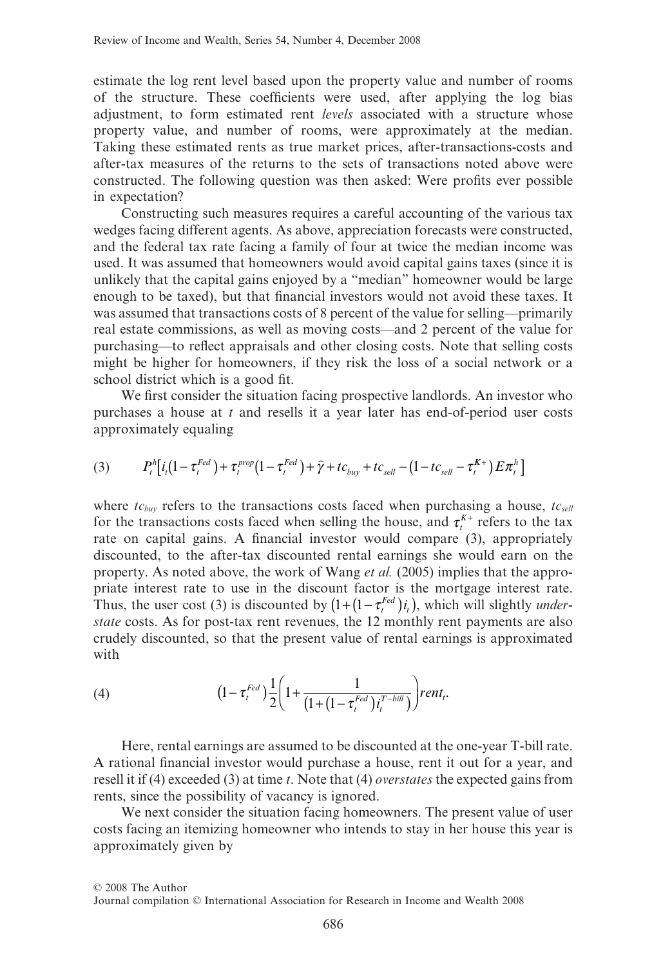estimate the log rent level based upon the property value and number of rooms of the structure. These coefficients were used, after applying the log bias adjustment, to form estimated rent *levels* associated with a structure whose property value, and number of rooms, were approximately at the median. Taking these estimated rents as true market prices, after-transactions-costs and after-tax measures of the returns to the sets of transactions noted above were constructed. The following question was then asked: Were profits ever possible in expectation?

Constructing such measures requires a careful accounting of the various tax wedges facing different agents. As above, appreciation forecasts were constructed, and the federal tax rate facing a family of four at twice the median income was used. It was assumed that homeowners would avoid capital gains taxes (since it is unlikely that the capital gains enjoyed by a "median" homeowner would be large enough to be taxed), but that financial investors would not avoid these taxes. It was assumed that transactions costs of 8 percent of the value for selling—primarily real estate commissions, as well as moving costs—and 2 percent of the value for purchasing—to reflect appraisals and other closing costs. Note that selling costs might be higher for homeowners, if they risk the loss of a social network or a school district which is a good fit.

We first consider the situation facing prospective landlords. An investor who purchases a house at *t* and resells it a year later has end-of-period user costs approximately equaling

(3) 
$$
P_t^h[i_l(1 - \tau_t^{Fed}) + \tau_t^{prop}(1 - \tau_t^{Fed}) + \hat{\gamma} + tc_{buy} + tc_{sell} - (1 - tc_{sell} - \tau_t^{K+}) E \pi_t^h]
$$

where  $tc_{buv}$  refers to the transactions costs faced when purchasing a house,  $tc_{sell}$ for the transactions costs faced when selling the house, and  $\tau_t^{K+}$  refers to the tax rate on capital gains. A financial investor would compare (3), appropriately discounted, to the after-tax discounted rental earnings she would earn on the property. As noted above, the work of Wang *et al.* (2005) implies that the appropriate interest rate to use in the discount factor is the mortgage interest rate. Thus, the user cost (3) is discounted by  $(1 + (1 - \tau_t^{\text{Fed}})i_t)$ , which will slightly *understate* costs. As for post-tax rent revenues, the 12 monthly rent payments are also crudely discounted, so that the present value of rental earnings is approximated with

(4) 
$$
(1 - \tau_t^{Fed}) \frac{1}{2} \left( 1 + \frac{1}{\left( 1 + (1 - \tau_t^{Fed}) i_t^{T-bill} \right)} \right) rent_t.
$$

Here, rental earnings are assumed to be discounted at the one-year T-bill rate. A rational financial investor would purchase a house, rent it out for a year, and resell it if (4) exceeded (3) at time *t*. Note that (4) *overstates* the expected gains from rents, since the possibility of vacancy is ignored.

We next consider the situation facing homeowners. The present value of user costs facing an itemizing homeowner who intends to stay in her house this year is approximately given by

© 2008 The Author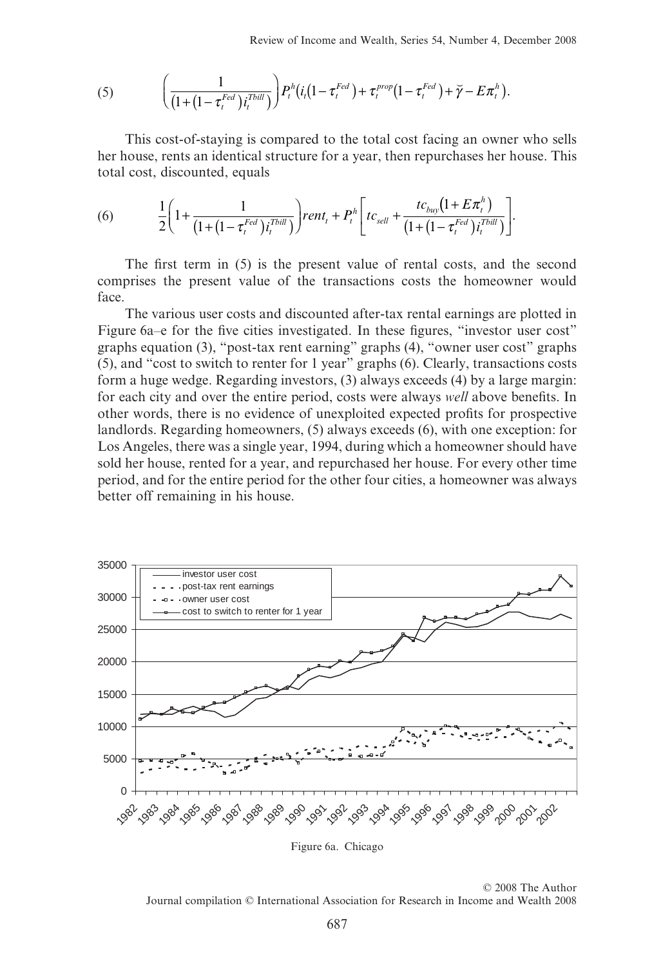(5) 
$$
\left(\frac{1}{\left(1+\left(1-\tau_i^{Fed}\right)i_i^{Tbill}\right)}\right)P_i^h(i_i\left(1-\tau_i^{Fed}\right)+\tau_i^{prop}\left(1-\tau_i^{Fed}\right)+\breve{\gamma}-E\pi_i^h).
$$

This cost-of-staying is compared to the total cost facing an owner who sells her house, rents an identical structure for a year, then repurchases her house. This total cost, discounted, equals

(6) 
$$
\frac{1}{2}\left(1+\frac{1}{\left(1+\left(1-\tau_t^{Fed}\right) i_l^{Tbill}\right)}\right) rent_t + P_t^h \left[tc_{sell} + \frac{tc_{buy}\left(1+Ex_t^h\right)}{\left(1+\left(1-\tau_t^{Fed}\right) i_l^{Tbill}\right)}\right].
$$

The first term in (5) is the present value of rental costs, and the second comprises the present value of the transactions costs the homeowner would face.

The various user costs and discounted after-tax rental earnings are plotted in Figure 6a–e for the five cities investigated. In these figures, "investor user cost" graphs equation (3), "post-tax rent earning" graphs (4), "owner user cost" graphs (5), and "cost to switch to renter for 1 year" graphs (6). Clearly, transactions costs form a huge wedge. Regarding investors, (3) always exceeds (4) by a large margin: for each city and over the entire period, costs were always *well* above benefits. In other words, there is no evidence of unexploited expected profits for prospective landlords. Regarding homeowners, (5) always exceeds (6), with one exception: for Los Angeles, there was a single year, 1994, during which a homeowner should have sold her house, rented for a year, and repurchased her house. For every other time period, and for the entire period for the other four cities, a homeowner was always better off remaining in his house.



Figure 6a. Chicago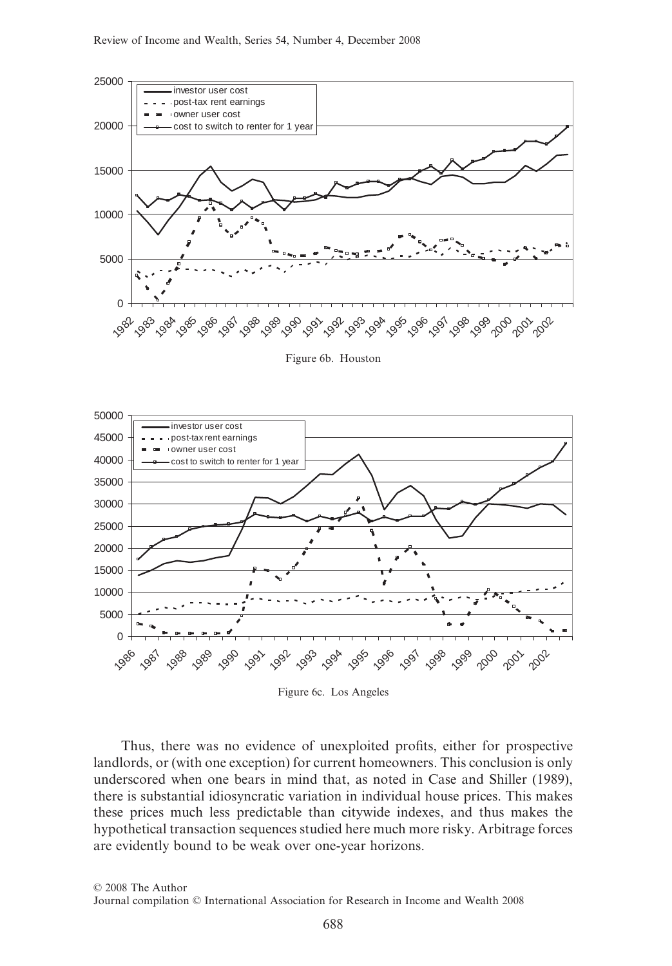

Figure 6b. Houston



Figure 6c. Los Angeles

Thus, there was no evidence of unexploited profits, either for prospective landlords, or (with one exception) for current homeowners. This conclusion is only underscored when one bears in mind that, as noted in Case and Shiller (1989), there is substantial idiosyncratic variation in individual house prices. This makes these prices much less predictable than citywide indexes, and thus makes the hypothetical transaction sequences studied here much more risky. Arbitrage forces are evidently bound to be weak over one-year horizons.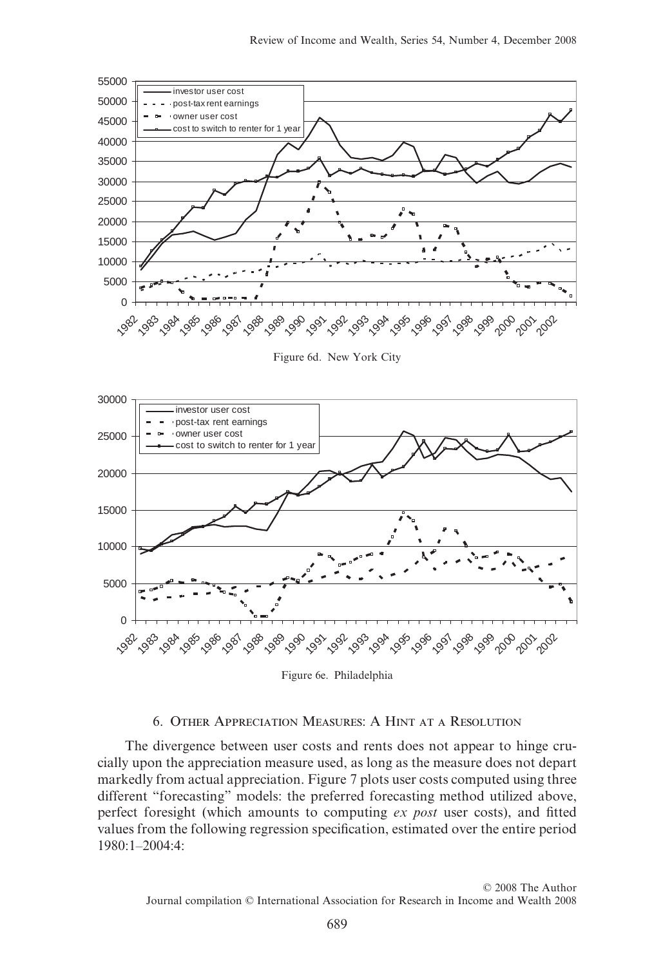

Figure 6d. New York City



Figure 6e. Philadelphia

#### 6. Other Appreciation Measures:AHint at a Resolution

The divergence between user costs and rents does not appear to hinge crucially upon the appreciation measure used, as long as the measure does not depart markedly from actual appreciation. Figure 7 plots user costs computed using three different "forecasting" models: the preferred forecasting method utilized above, perfect foresight (which amounts to computing *ex post* user costs), and fitted values from the following regression specification, estimated over the entire period 1980:1–2004:4: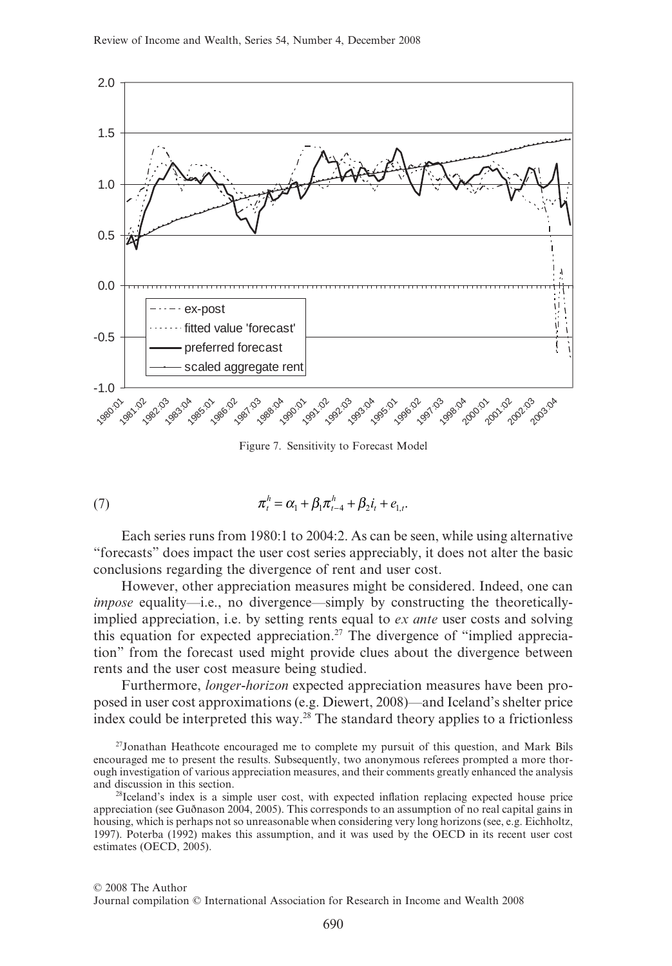



Figure 7. Sensitivity to Forecast Model

(7) 
$$
\pi_t^h = \alpha_1 + \beta_1 \pi_{t-4}^h + \beta_2 i_t + e_{1,t}.
$$

Each series runs from 1980:1 to 2004:2. As can be seen, while using alternative "forecasts" does impact the user cost series appreciably, it does not alter the basic conclusions regarding the divergence of rent and user cost.

However, other appreciation measures might be considered. Indeed, one can *impose* equality—i.e., no divergence—simply by constructing the theoreticallyimplied appreciation, i.e. by setting rents equal to *ex ante* user costs and solving this equation for expected appreciation.<sup>27</sup> The divergence of "implied appreciation" from the forecast used might provide clues about the divergence between rents and the user cost measure being studied.

Furthermore, *longer-horizon* expected appreciation measures have been proposed in user cost approximations (e.g. Diewert, 2008)—and Iceland's shelter price index could be interpreted this way.28 The standard theory applies to a frictionless

<sup>27</sup>Jonathan Heathcote encouraged me to complete my pursuit of this question, and Mark Bils encouraged me to present the results. Subsequently, two anonymous referees prompted a more thorough investigation of various appreciation measures, and their comments greatly enhanced the analysis and discussion in this section.

<sup>28</sup>Iceland's index is a simple user cost, with expected inflation replacing expected house price appreciation (see Guðnason 2004, 2005). This corresponds to an assumption of no real capital gains in housing, which is perhaps not so unreasonable when considering very long horizons (see, e.g. Eichholtz, 1997). Poterba (1992) makes this assumption, and it was used by the OECD in its recent user cost estimates (OECD, 2005).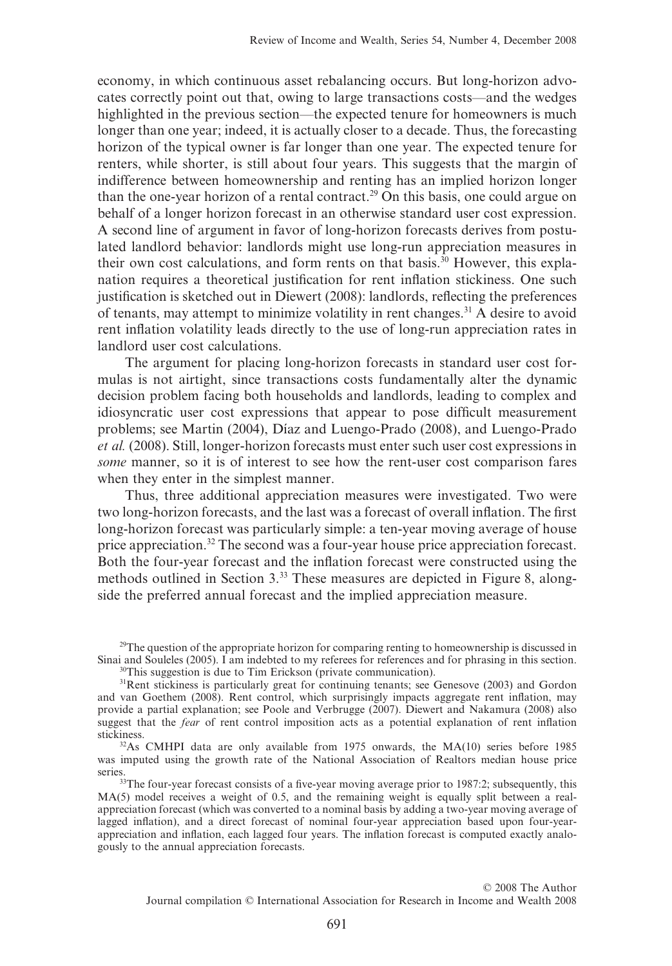economy, in which continuous asset rebalancing occurs. But long-horizon advocates correctly point out that, owing to large transactions costs—and the wedges highlighted in the previous section—the expected tenure for homeowners is much longer than one year; indeed, it is actually closer to a decade. Thus, the forecasting horizon of the typical owner is far longer than one year. The expected tenure for renters, while shorter, is still about four years. This suggests that the margin of indifference between homeownership and renting has an implied horizon longer than the one-year horizon of a rental contract.<sup>29</sup> On this basis, one could argue on behalf of a longer horizon forecast in an otherwise standard user cost expression. A second line of argument in favor of long-horizon forecasts derives from postulated landlord behavior: landlords might use long-run appreciation measures in their own cost calculations, and form rents on that basis.<sup>30</sup> However, this explanation requires a theoretical justification for rent inflation stickiness. One such justification is sketched out in Diewert (2008): landlords, reflecting the preferences of tenants, may attempt to minimize volatility in rent changes.31 A desire to avoid rent inflation volatility leads directly to the use of long-run appreciation rates in landlord user cost calculations.

The argument for placing long-horizon forecasts in standard user cost formulas is not airtight, since transactions costs fundamentally alter the dynamic decision problem facing both households and landlords, leading to complex and idiosyncratic user cost expressions that appear to pose difficult measurement problems; see Martin (2004), Díaz and Luengo-Prado (2008), and Luengo-Prado *et al.* (2008). Still, longer-horizon forecasts must enter such user cost expressions in *some* manner, so it is of interest to see how the rent-user cost comparison fares when they enter in the simplest manner.

Thus, three additional appreciation measures were investigated. Two were two long-horizon forecasts, and the last was a forecast of overall inflation. The first long-horizon forecast was particularly simple: a ten-year moving average of house price appreciation.32 The second was a four-year house price appreciation forecast. Both the four-year forecast and the inflation forecast were constructed using the methods outlined in Section 3.33 These measures are depicted in Figure 8, alongside the preferred annual forecast and the implied appreciation measure.

<sup>29</sup>The question of the appropriate horizon for comparing renting to homeownership is discussed in Sinai and Souleles (2005). I am indebted to my referees for references and for phrasing in this section. <sup>30</sup>This suggestion is due to Tim Erickson (private communication).

<sup>&</sup>lt;sup>31</sup>Rent stickiness is particularly great for continuing tenants; see Genesove (2003) and Gordon and van Goethem (2008). Rent control, which surprisingly impacts aggregate rent inflation, may provide a partial explanation; see Poole and Verbrugge (2007). Diewert and Nakamura (2008) also suggest that the *fear* of rent control imposition acts as a potential explanation of rent inflation stickiness.

 $32$ As CMHPI data are only available from 1975 onwards, the MA(10) series before 1985 was imputed using the growth rate of the National Association of Realtors median house price series.<br><sup>33</sup>The four-year forecast consists of a five-year moving average prior to 1987:2; subsequently, this

MA(5) model receives a weight of 0.5, and the remaining weight is equally split between a realappreciation forecast (which was converted to a nominal basis by adding a two-year moving average of lagged inflation), and a direct forecast of nominal four-year appreciation based upon four-yearappreciation and inflation, each lagged four years. The inflation forecast is computed exactly analogously to the annual appreciation forecasts.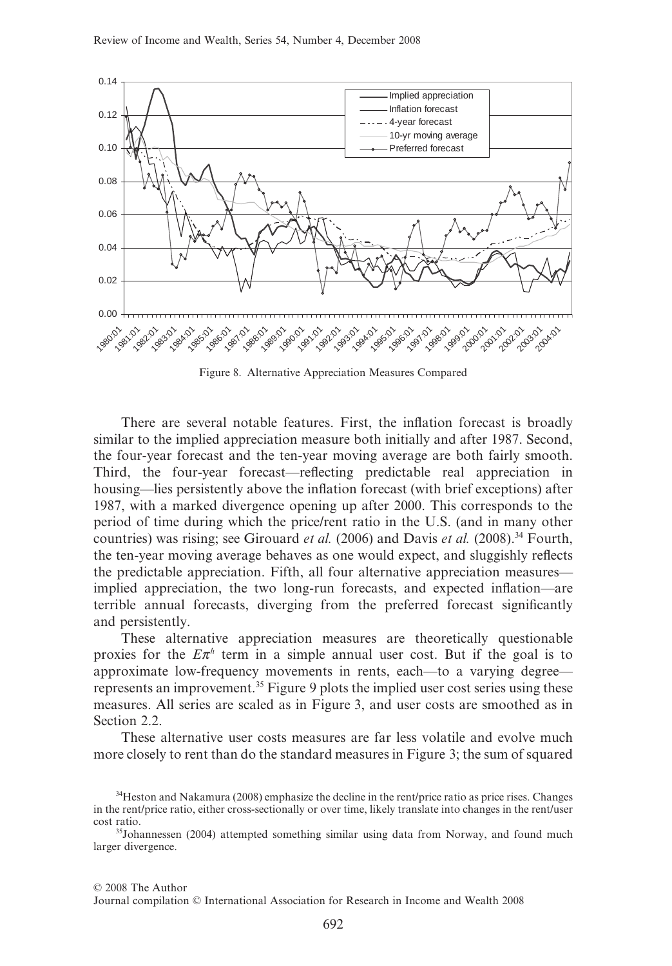

Figure 8. Alternative Appreciation Measures Compared

There are several notable features. First, the inflation forecast is broadly similar to the implied appreciation measure both initially and after 1987. Second, the four-year forecast and the ten-year moving average are both fairly smooth. Third, the four-year forecast—reflecting predictable real appreciation in housing—lies persistently above the inflation forecast (with brief exceptions) after 1987, with a marked divergence opening up after 2000. This corresponds to the period of time during which the price/rent ratio in the U.S. (and in many other countries) was rising; see Girouard *et al.* (2006) and Davis *et al.* (2008).<sup>34</sup> Fourth, the ten-year moving average behaves as one would expect, and sluggishly reflects the predictable appreciation. Fifth, all four alternative appreciation measures implied appreciation, the two long-run forecasts, and expected inflation—are terrible annual forecasts, diverging from the preferred forecast significantly and persistently.

These alternative appreciation measures are theoretically questionable proxies for the  $E\pi^h$  term in a simple annual user cost. But if the goal is to approximate low-frequency movements in rents, each—to a varying degree represents an improvement.<sup>35</sup> Figure 9 plots the implied user cost series using these measures. All series are scaled as in Figure 3, and user costs are smoothed as in Section 2.2.

These alternative user costs measures are far less volatile and evolve much more closely to rent than do the standard measures in Figure 3; the sum of squared

© 2008 The Author

<sup>&</sup>lt;sup>34</sup>Heston and Nakamura (2008) emphasize the decline in the rent/price ratio as price rises. Changes in the rent/price ratio, either cross-sectionally or over time, likely translate into changes in the rent/user cost ratio.

<sup>&</sup>lt;sup>35</sup>Johannessen (2004) attempted something similar using data from Norway, and found much larger divergence.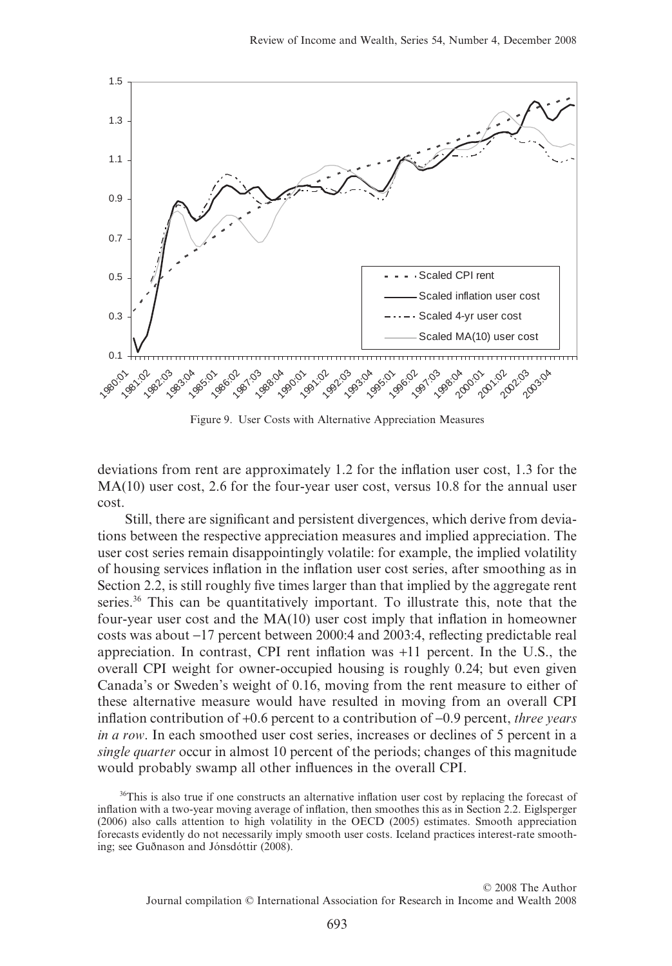

Figure 9. User Costs with Alternative Appreciation Measures

deviations from rent are approximately 1.2 for the inflation user cost, 1.3 for the MA(10) user cost, 2.6 for the four-year user cost, versus 10.8 for the annual user cost.

Still, there are significant and persistent divergences, which derive from deviations between the respective appreciation measures and implied appreciation. The user cost series remain disappointingly volatile: for example, the implied volatility of housing services inflation in the inflation user cost series, after smoothing as in Section 2.2, is still roughly five times larger than that implied by the aggregate rent series.36 This can be quantitatively important. To illustrate this, note that the four-year user cost and the MA(10) user cost imply that inflation in homeowner costs was about -17 percent between 2000:4 and 2003:4, reflecting predictable real appreciation. In contrast, CPI rent inflation was +11 percent. In the U.S., the overall CPI weight for owner-occupied housing is roughly 0.24; but even given Canada's or Sweden's weight of 0.16, moving from the rent measure to either of these alternative measure would have resulted in moving from an overall CPI inflation contribution of +0.6 percent to a contribution of -0.9 percent, *three years in a row*. In each smoothed user cost series, increases or declines of 5 percent in a *single quarter* occur in almost 10 percent of the periods; changes of this magnitude would probably swamp all other influences in the overall CPI.

<sup>&</sup>lt;sup>36</sup>This is also true if one constructs an alternative inflation user cost by replacing the forecast of inflation with a two-year moving average of inflation, then smoothes this as in Section 2.2. Eiglsperger (2006) also calls attention to high volatility in the OECD (2005) estimates. Smooth appreciation forecasts evidently do not necessarily imply smooth user costs. Iceland practices interest-rate smoothing; see Guðnason and Jónsdóttir (2008).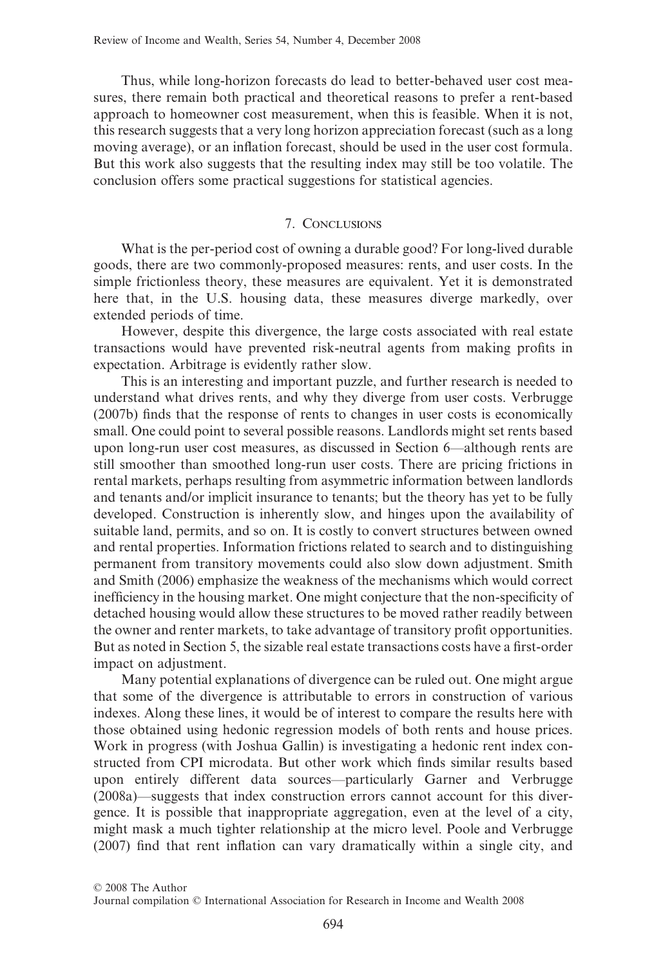Thus, while long-horizon forecasts do lead to better-behaved user cost measures, there remain both practical and theoretical reasons to prefer a rent-based approach to homeowner cost measurement, when this is feasible. When it is not, this research suggests that a very long horizon appreciation forecast (such as a long moving average), or an inflation forecast, should be used in the user cost formula. But this work also suggests that the resulting index may still be too volatile. The conclusion offers some practical suggestions for statistical agencies.

## 7. Conclusions

What is the per-period cost of owning a durable good? For long-lived durable goods, there are two commonly-proposed measures: rents, and user costs. In the simple frictionless theory, these measures are equivalent. Yet it is demonstrated here that, in the U.S. housing data, these measures diverge markedly, over extended periods of time.

However, despite this divergence, the large costs associated with real estate transactions would have prevented risk-neutral agents from making profits in expectation. Arbitrage is evidently rather slow.

This is an interesting and important puzzle, and further research is needed to understand what drives rents, and why they diverge from user costs. Verbrugge (2007b) finds that the response of rents to changes in user costs is economically small. One could point to several possible reasons. Landlords might set rents based upon long-run user cost measures, as discussed in Section 6—although rents are still smoother than smoothed long-run user costs. There are pricing frictions in rental markets, perhaps resulting from asymmetric information between landlords and tenants and/or implicit insurance to tenants; but the theory has yet to be fully developed. Construction is inherently slow, and hinges upon the availability of suitable land, permits, and so on. It is costly to convert structures between owned and rental properties. Information frictions related to search and to distinguishing permanent from transitory movements could also slow down adjustment. Smith and Smith (2006) emphasize the weakness of the mechanisms which would correct inefficiency in the housing market. One might conjecture that the non-specificity of detached housing would allow these structures to be moved rather readily between the owner and renter markets, to take advantage of transitory profit opportunities. But as noted in Section 5, the sizable real estate transactions costs have a first-order impact on adjustment.

Many potential explanations of divergence can be ruled out. One might argue that some of the divergence is attributable to errors in construction of various indexes. Along these lines, it would be of interest to compare the results here with those obtained using hedonic regression models of both rents and house prices. Work in progress (with Joshua Gallin) is investigating a hedonic rent index constructed from CPI microdata. But other work which finds similar results based upon entirely different data sources—particularly Garner and Verbrugge (2008a)—suggests that index construction errors cannot account for this divergence. It is possible that inappropriate aggregation, even at the level of a city, might mask a much tighter relationship at the micro level. Poole and Verbrugge (2007) find that rent inflation can vary dramatically within a single city, and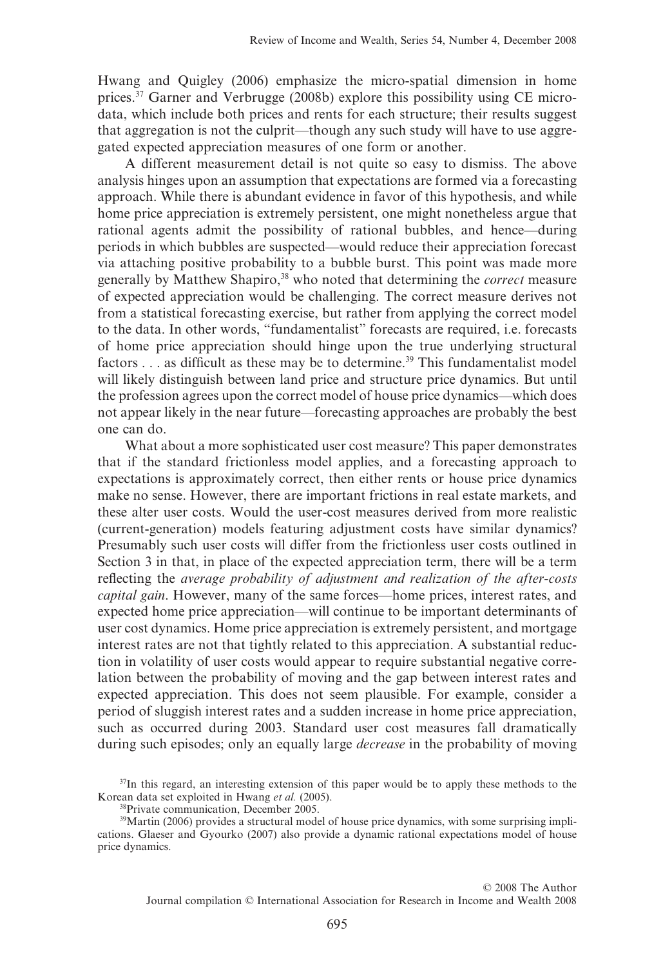Hwang and Quigley (2006) emphasize the micro-spatial dimension in home prices.<sup>37</sup> Garner and Verbrugge (2008b) explore this possibility using CE microdata, which include both prices and rents for each structure; their results suggest that aggregation is not the culprit—though any such study will have to use aggregated expected appreciation measures of one form or another.

A different measurement detail is not quite so easy to dismiss. The above analysis hinges upon an assumption that expectations are formed via a forecasting approach. While there is abundant evidence in favor of this hypothesis, and while home price appreciation is extremely persistent, one might nonetheless argue that rational agents admit the possibility of rational bubbles, and hence—during periods in which bubbles are suspected—would reduce their appreciation forecast via attaching positive probability to a bubble burst. This point was made more generally by Matthew Shapiro,38 who noted that determining the *correct* measure of expected appreciation would be challenging. The correct measure derives not from a statistical forecasting exercise, but rather from applying the correct model to the data. In other words, "fundamentalist" forecasts are required, i.e. forecasts of home price appreciation should hinge upon the true underlying structural factors  $\dots$  as difficult as these may be to determine.<sup>39</sup> This fundamentalist model will likely distinguish between land price and structure price dynamics. But until the profession agrees upon the correct model of house price dynamics—which does not appear likely in the near future—forecasting approaches are probably the best one can do.

What about a more sophisticated user cost measure? This paper demonstrates that if the standard frictionless model applies, and a forecasting approach to expectations is approximately correct, then either rents or house price dynamics make no sense. However, there are important frictions in real estate markets, and these alter user costs. Would the user-cost measures derived from more realistic (current-generation) models featuring adjustment costs have similar dynamics? Presumably such user costs will differ from the frictionless user costs outlined in Section 3 in that, in place of the expected appreciation term, there will be a term reflecting the *average probability of adjustment and realization of the after-costs capital gain*. However, many of the same forces—home prices, interest rates, and expected home price appreciation—will continue to be important determinants of user cost dynamics. Home price appreciation is extremely persistent, and mortgage interest rates are not that tightly related to this appreciation. A substantial reduction in volatility of user costs would appear to require substantial negative correlation between the probability of moving and the gap between interest rates and expected appreciation. This does not seem plausible. For example, consider a period of sluggish interest rates and a sudden increase in home price appreciation, such as occurred during 2003. Standard user cost measures fall dramatically during such episodes; only an equally large *decrease* in the probability of moving

<sup>&</sup>lt;sup>37</sup>In this regard, an interesting extension of this paper would be to apply these methods to the Korean data set exploited in Hwang *et al.* (2005).

<sup>38</sup>Private communication, December 2005.

<sup>&</sup>lt;sup>39</sup>Martin (2006) provides a structural model of house price dynamics, with some surprising implications. Glaeser and Gyourko (2007) also provide a dynamic rational expectations model of house price dynamics.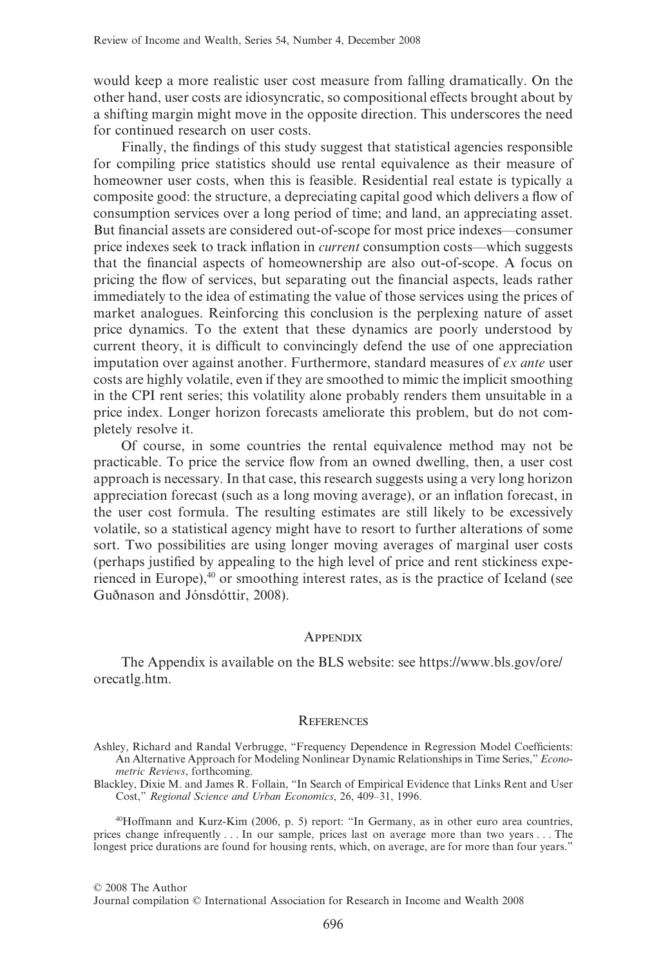would keep a more realistic user cost measure from falling dramatically. On the other hand, user costs are idiosyncratic, so compositional effects brought about by a shifting margin might move in the opposite direction. This underscores the need for continued research on user costs.

Finally, the findings of this study suggest that statistical agencies responsible for compiling price statistics should use rental equivalence as their measure of homeowner user costs, when this is feasible. Residential real estate is typically a composite good: the structure, a depreciating capital good which delivers a flow of consumption services over a long period of time; and land, an appreciating asset. But financial assets are considered out-of-scope for most price indexes—consumer price indexes seek to track inflation in *current* consumption costs—which suggests that the financial aspects of homeownership are also out-of-scope. A focus on pricing the flow of services, but separating out the financial aspects, leads rather immediately to the idea of estimating the value of those services using the prices of market analogues. Reinforcing this conclusion is the perplexing nature of asset price dynamics. To the extent that these dynamics are poorly understood by current theory, it is difficult to convincingly defend the use of one appreciation imputation over against another. Furthermore, standard measures of *ex ante* user costs are highly volatile, even if they are smoothed to mimic the implicit smoothing in the CPI rent series; this volatility alone probably renders them unsuitable in a price index. Longer horizon forecasts ameliorate this problem, but do not completely resolve it.

Of course, in some countries the rental equivalence method may not be practicable. To price the service flow from an owned dwelling, then, a user cost approach is necessary. In that case, this research suggests using a very long horizon appreciation forecast (such as a long moving average), or an inflation forecast, in the user cost formula. The resulting estimates are still likely to be excessively volatile, so a statistical agency might have to resort to further alterations of some sort. Two possibilities are using longer moving averages of marginal user costs (perhaps justified by appealing to the high level of price and rent stickiness experienced in Europe),<sup>40</sup> or smoothing interest rates, as is the practice of Iceland (see Guðnason and Jónsdóttir, 2008).

#### **APPENDIX**

The Appendix is available on the BLS website: see ht[tps://www.bls.gov/ore/](http://www.bls.gov/ore) orecatlg.htm.

#### **REFERENCES**

Ashley, Richard and Randal Verbrugge, "Frequency Dependence in Regression Model Coefficients: An Alternative Approach for Modeling Nonlinear Dynamic Relationships in Time Series," *Econometric Reviews*, forthcoming.

Blackley, Dixie M. and James R. Follain, "In Search of Empirical Evidence that Links Rent and User Cost," *Regional Science and Urban Economics*, 26, 409–31, 1996.

40Hoffmann and Kurz-Kim (2006, p. 5) report: "In Germany, as in other euro area countries, prices change infrequently . . . In our sample, prices last on average more than two years . . . The longest price durations are found for housing rents, which, on average, are for more than four years."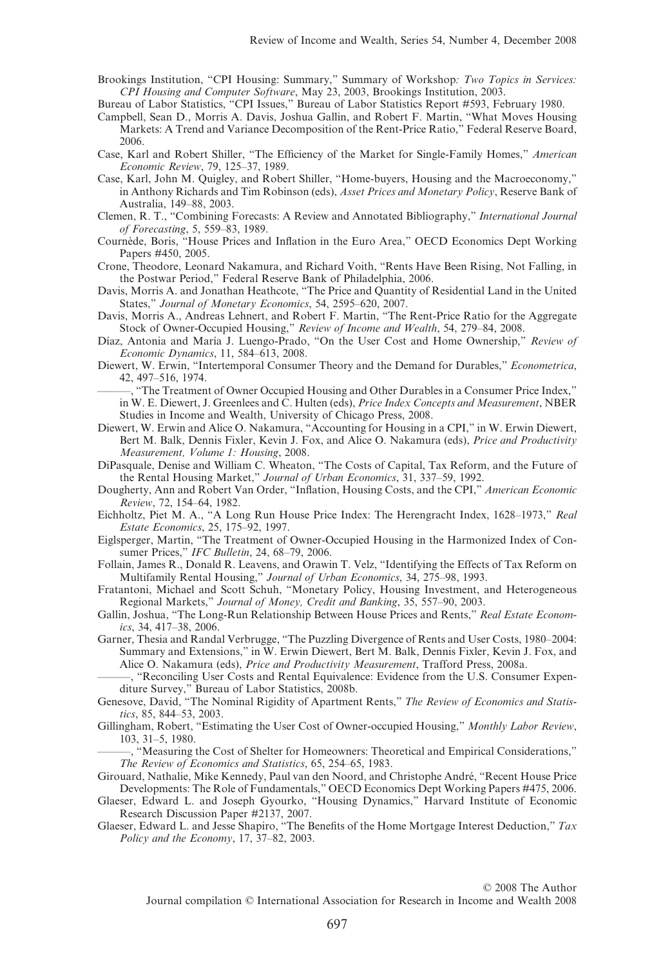Brookings Institution, "CPI Housing: Summary," Summary of Workshop*: Two Topics in Services: CPI Housing and Computer Software*, May 23, 2003, Brookings Institution, 2003.

Bureau of Labor Statistics, "CPI Issues," Bureau of Labor Statistics Report #593, February 1980.

- Campbell, Sean D., Morris A. Davis, Joshua Gallin, and Robert F. Martin, "What Moves Housing Markets: A Trend and Variance Decomposition of the Rent-Price Ratio," Federal Reserve Board, 2006.
- Case, Karl and Robert Shiller, "The Efficiency of the Market for Single-Family Homes," *American Economic Review*, 79, 125–37, 1989.
- Case, Karl, John M. Quigley, and Robert Shiller, "Home-buyers, Housing and the Macroeconomy," in Anthony Richards and Tim Robinson (eds), *Asset Prices and Monetary Policy*, Reserve Bank of Australia, 149–88, 2003.
- Clemen, R. T., "Combining Forecasts: A Review and Annotated Bibliography," *International Journal of Forecasting*, 5, 559–83, 1989.
- Cournède, Boris, "House Prices and Inflation in the Euro Area," OECD Economics Dept Working Papers #450, 2005.
- Crone, Theodore, Leonard Nakamura, and Richard Voith, "Rents Have Been Rising, Not Falling, in the Postwar Period," Federal Reserve Bank of Philadelphia, 2006.
- Davis, Morris A. and Jonathan Heathcote, "The Price and Quantity of Residential Land in the United States," *Journal of Monetary Economics*, 54, 2595–620, 2007.
- Davis, Morris A., Andreas Lehnert, and Robert F. Martin, "The Rent-Price Ratio for the Aggregate Stock of Owner-Occupied Housing," *Review of Income and Wealth*, 54, 279–84, 2008.
- Díaz, Antonia and María J. Luengo-Prado, "On the User Cost and Home Ownership," *Review of Economic Dynamics*, 11, 584–613, 2008.
- Diewert, W. Erwin, "Intertemporal Consumer Theory and the Demand for Durables," *Econometrica*, 42, 497–516, 1974.
	- "The Treatment of Owner Occupied Housing and Other Durables in a Consumer Price Index," in W. E. Diewert, J. Greenlees and C. Hulten (eds), *Price Index Concepts and Measurement*, NBER Studies in Income and Wealth, University of Chicago Press, 2008.
- Diewert, W. Erwin and Alice O. Nakamura, "Accounting for Housing in a CPI," in W. Erwin Diewert, Bert M. Balk, Dennis Fixler, Kevin J. Fox, and Alice O. Nakamura (eds), *Price and Productivity Measurement, Volume 1: Housing*, 2008.
- DiPasquale, Denise and William C. Wheaton, "The Costs of Capital, Tax Reform, and the Future of the Rental Housing Market," *Journal of Urban Economics*, 31, 337–59, 1992.
- Dougherty, Ann and Robert Van Order, "Inflation, Housing Costs, and the CPI," *American Economic Review*, 72, 154–64, 1982.
- Eichholtz, Piet M. A., "A Long Run House Price Index: The Herengracht Index, 1628–1973," *Real Estate Economics*, 25, 175–92, 1997.
- Eiglsperger, Martin, "The Treatment of Owner-Occupied Housing in the Harmonized Index of Consumer Prices," *IFC Bulletin*, 24, 68–79, 2006.
- Follain, James R., Donald R. Leavens, and Orawin T. Velz, "Identifying the Effects of Tax Reform on Multifamily Rental Housing," *Journal of Urban Economics*, 34, 275–98, 1993.
- Fratantoni, Michael and Scott Schuh, "Monetary Policy, Housing Investment, and Heterogeneous Regional Markets," *Journal of Money, Credit and Banking*, 35, 557–90, 2003.
- Gallin, Joshua, "The Long-Run Relationship Between House Prices and Rents," *Real Estate Economics*, 34, 417–38, 2006.
- Garner, Thesia and Randal Verbrugge, "The Puzzling Divergence of Rents and User Costs, 1980–2004: Summary and Extensions," in W. Erwin Diewert, Bert M. Balk, Dennis Fixler, Kevin J. Fox, and Alice O. Nakamura (eds), *Price and Productivity Measurement*, Trafford Press, 2008a.

———, "Reconciling User Costs and Rental Equivalence: Evidence from the U.S. Consumer Expenditure Survey," Bureau of Labor Statistics, 2008b.

Genesove, David, "The Nominal Rigidity of Apartment Rents," *The Review of Economics and Statistics*, 85, 844–53, 2003.

Gillingham, Robert, "Estimating the User Cost of Owner-occupied Housing," *Monthly Labor Review*, 103, 31–5, 1980.

———, "Measuring the Cost of Shelter for Homeowners: Theoretical and Empirical Considerations," *The Review of Economics and Statistics*, 65, 254–65, 1983.

- Girouard, Nathalie, Mike Kennedy, Paul van den Noord, and Christophe André, "Recent House Price Developments: The Role of Fundamentals," OECD Economics Dept Working Papers #475, 2006.
- Glaeser, Edward L. and Joseph Gyourko, "Housing Dynamics," Harvard Institute of Economic Research Discussion Paper #2137, 2007.
- Glaeser, Edward L. and Jesse Shapiro, "The Benefits of the Home Mortgage Interest Deduction," *Tax Policy and the Economy*, 17, 37–82, 2003.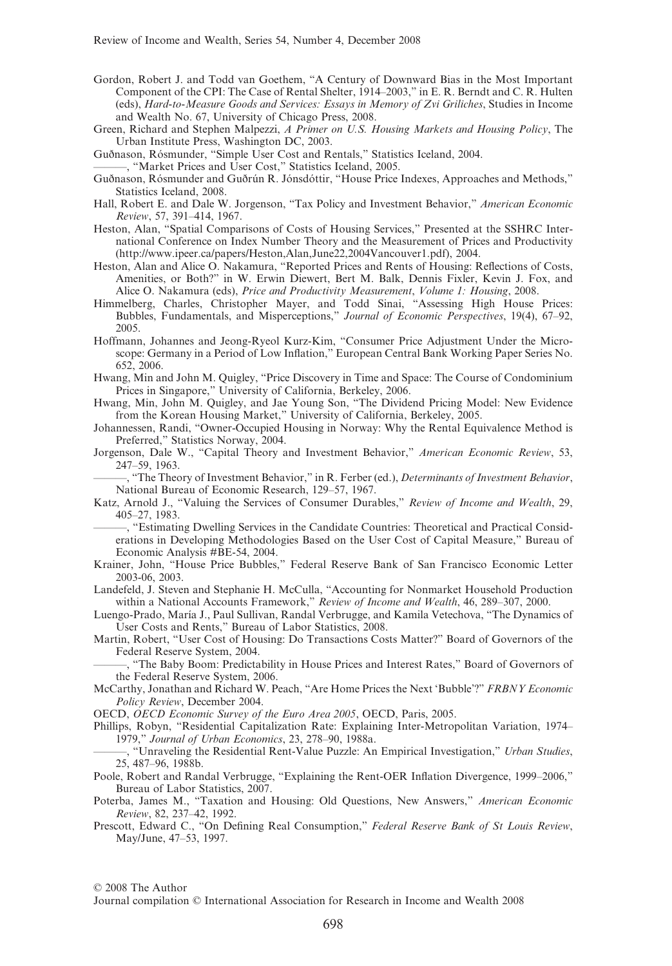- Gordon, Robert J. and Todd van Goethem, "A Century of Downward Bias in the Most Important Component of the CPI: The Case of Rental Shelter, 1914–2003," in E. R. Berndt and C. R. Hulten (eds), *Hard-to-Measure Goods and Services: Essays in Memory of Zvi Griliches*, Studies in Income and Wealth No. 67, University of Chicago Press, 2008.
- Green, Richard and Stephen Malpezzi, *A Primer on U.S. Housing Markets and Housing Policy*, The Urban Institute Press, Washington DC, 2003.
- Guðnason, Rósmunder, "Simple User Cost and Rentals," Statistics Iceland, 2004.

———, "Market Prices and User Cost," Statistics Iceland, 2005.

- Guðnason, Rósmunder and Guðrún R. Jónsdóttir, "House Price Indexes, Approaches and Methods," Statistics Iceland, 2008.
- Hall, Robert E. and Dale W. Jorgenson, "Tax Policy and Investment Behavior," *American Economic Review*, 57, 391–414, 1967.
- Heston, Alan, "Spatial Comparisons of Costs of Housing Services," Presented at the SSHRC International Conference on Index Number Theory and the Measurement of Prices and Productivity [\(http://www.ipeer.ca/papers/Heston,](http://www.ipeer.ca/papers/Heston)Alan,June22,2004Vancouver1.pdf), 2004.
- Heston, Alan and Alice O. Nakamura, "Reported Prices and Rents of Housing: Reflections of Costs, Amenities, or Both?" in W. Erwin Diewert, Bert M. Balk, Dennis Fixler, Kevin J. Fox, and Alice O. Nakamura (eds), *Price and Productivity Measurement*, *Volume 1: Housing*, 2008.
- Himmelberg, Charles, Christopher Mayer, and Todd Sinai, "Assessing High House Prices: Bubbles, Fundamentals, and Misperceptions," *Journal of Economic Perspectives*, 19(4), 67–92, 2005.
- Hoffmann, Johannes and Jeong-Ryeol Kurz-Kim, "Consumer Price Adjustment Under the Microscope: Germany in a Period of Low Inflation," European Central Bank Working Paper Series No. 652, 2006.
- Hwang, Min and John M. Quigley, "Price Discovery in Time and Space: The Course of Condominium Prices in Singapore," University of California, Berkeley, 2006.
- Hwang, Min, John M. Quigley, and Jae Young Son, "The Dividend Pricing Model: New Evidence from the Korean Housing Market," University of California, Berkeley, 2005.

Johannessen, Randi, "Owner-Occupied Housing in Norway: Why the Rental Equivalence Method is Preferred," Statistics Norway, 2004.

Jorgenson, Dale W., "Capital Theory and Investment Behavior," *American Economic Review*, 53, 247–59, 1963.

———, "The Theory of Investment Behavior," in R. Ferber (ed.), *Determinants of Investment Behavior*, National Bureau of Economic Research, 129–57, 1967.

Katz, Arnold J., "Valuing the Services of Consumer Durables," *Review of Income and Wealth*, 29, 405–27, 1983.

———, "Estimating Dwelling Services in the Candidate Countries: Theoretical and Practical Considerations in Developing Methodologies Based on the User Cost of Capital Measure," Bureau of Economic Analysis #BE-54, 2004.

- Krainer, John, "House Price Bubbles," Federal Reserve Bank of San Francisco Economic Letter 2003-06, 2003.
- Landefeld, J. Steven and Stephanie H. McCulla, "Accounting for Nonmarket Household Production within a National Accounts Framework," *Review of Income and Wealth*, 46, 289–307, 2000.

Luengo-Prado, María J., Paul Sullivan, Randal Verbrugge, and Kamila Vetechova, "The Dynamics of User Costs and Rents," Bureau of Labor Statistics, 2008.

Martin, Robert, "User Cost of Housing: Do Transactions Costs Matter?" Board of Governors of the Federal Reserve System, 2004.

———, "The Baby Boom: Predictability in House Prices and Interest Rates," Board of Governors of the Federal Reserve System, 2006.

McCarthy, Jonathan and Richard W. Peach, "Are Home Prices the Next 'Bubble'?" *FRBNY Economic Policy Review*, December 2004.

OECD, *OECD Economic Survey of the Euro Area 2005*, OECD, Paris, 2005.

Phillips, Robyn, "Residential Capitalization Rate: Explaining Inter-Metropolitan Variation, 1974– 1979," *Journal of Urban Economics*, 23, 278–90, 1988a.

———, "Unraveling the Residential Rent-Value Puzzle: An Empirical Investigation," *Urban Studies*, 25, 487–96, 1988b.

Poole, Robert and Randal Verbrugge, "Explaining the Rent-OER Inflation Divergence, 1999–2006," Bureau of Labor Statistics, 2007.

Poterba, James M., "Taxation and Housing: Old Questions, New Answers," *American Economic Review*, 82, 237–42, 1992.

Prescott, Edward C., "On Defining Real Consumption," *Federal Reserve Bank of St Louis Review*, May/June, 47–53, 1997.

© 2008 The Author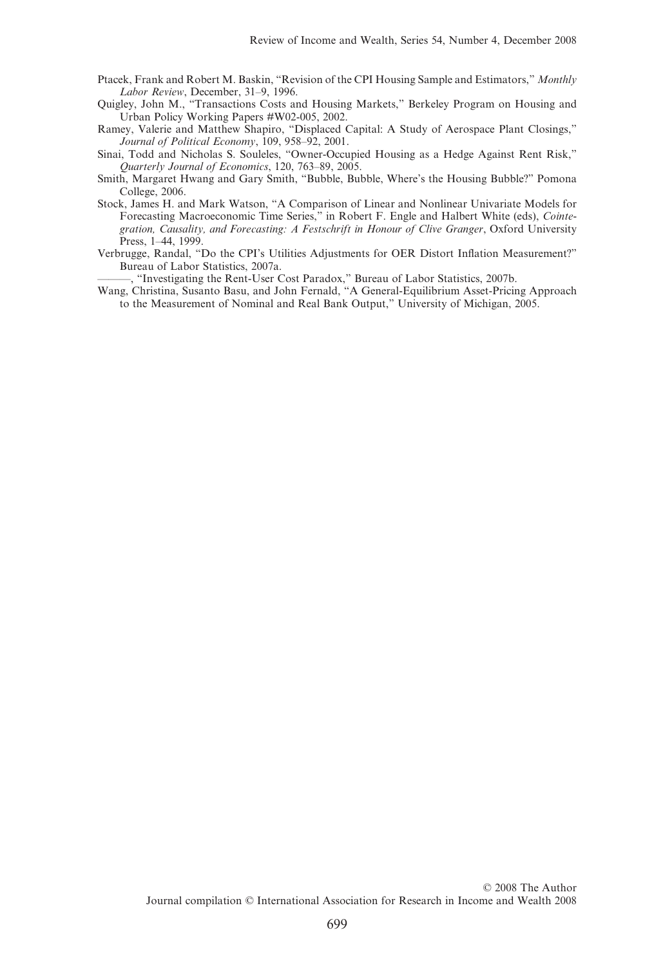- Ptacek, Frank and Robert M. Baskin, "Revision of the CPI Housing Sample and Estimators," *Monthly Labor Review*, December, 31–9, 1996.
- Quigley, John M., "Transactions Costs and Housing Markets," Berkeley Program on Housing and Urban Policy Working Papers #W02-005, 2002.
- Ramey, Valerie and Matthew Shapiro, "Displaced Capital: A Study of Aerospace Plant Closings," *Journal of Political Economy*, 109, 958–92, 2001.
- Sinai, Todd and Nicholas S. Souleles, "Owner-Occupied Housing as a Hedge Against Rent Risk," *Quarterly Journal of Economics*, 120, 763–89, 2005.
- Smith, Margaret Hwang and Gary Smith, "Bubble, Bubble, Where's the Housing Bubble?" Pomona College, 2006.
- Stock, James H. and Mark Watson, "A Comparison of Linear and Nonlinear Univariate Models for Forecasting Macroeconomic Time Series," in Robert F. Engle and Halbert White (eds), *Cointegration, Causality, and Forecasting: A Festschrift in Honour of Clive Granger*, Oxford University Press, 1–44, 1999.
- Verbrugge, Randal, "Do the CPI's Utilities Adjustments for OER Distort Inflation Measurement?" Bureau of Labor Statistics, 2007a.

, "Investigating the Rent-User Cost Paradox," Bureau of Labor Statistics, 2007b.

Wang, Christina, Susanto Basu, and John Fernald, "A General-Equilibrium Asset-Pricing Approach to the Measurement of Nominal and Real Bank Output," University of Michigan, 2005.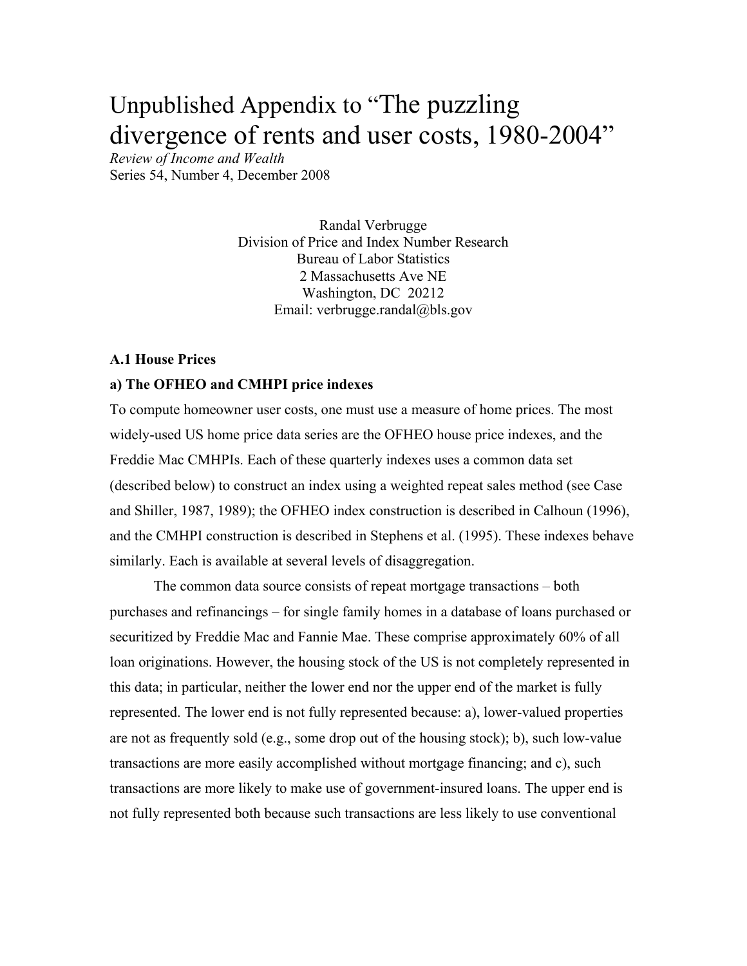# Unpublished Appendix to "The puzzling divergence of rents and user costs, 1980-2004"

*Review of Income and Wealth*  Series 54, Number 4, December 2008

> Randal Verbrugge Division of Price and Index Number Research Bureau of Labor Statistics 2 Massachusetts Ave NE Washington, DC 20212 Email: verbrugge.randal@bls.gov

# **A.1 House Prices**

# **a) The OFHEO and CMHPI price indexes**

To compute homeowner user costs, one must use a measure of home prices. The most widely-used US home price data series are the OFHEO house price indexes, and the Freddie Mac CMHPIs. Each of these quarterly indexes uses a common data set (described below) to construct an index using a weighted repeat sales method (see Case and Shiller, 1987, 1989); the OFHEO index construction is described in Calhoun (1996), and the CMHPI construction is described in Stephens et al. (1995). These indexes behave similarly. Each is available at several levels of disaggregation.

The common data source consists of repeat mortgage transactions – both purchases and refinancings – for single family homes in a database of loans purchased or securitized by Freddie Mac and Fannie Mae. These comprise approximately 60% of all loan originations. However, the housing stock of the US is not completely represented in this data; in particular, neither the lower end nor the upper end of the market is fully represented. The lower end is not fully represented because: a), lower-valued properties are not as frequently sold (e.g., some drop out of the housing stock); b), such low-value transactions are more easily accomplished without mortgage financing; and c), such transactions are more likely to make use of government-insured loans. The upper end is not fully represented both because such transactions are less likely to use conventional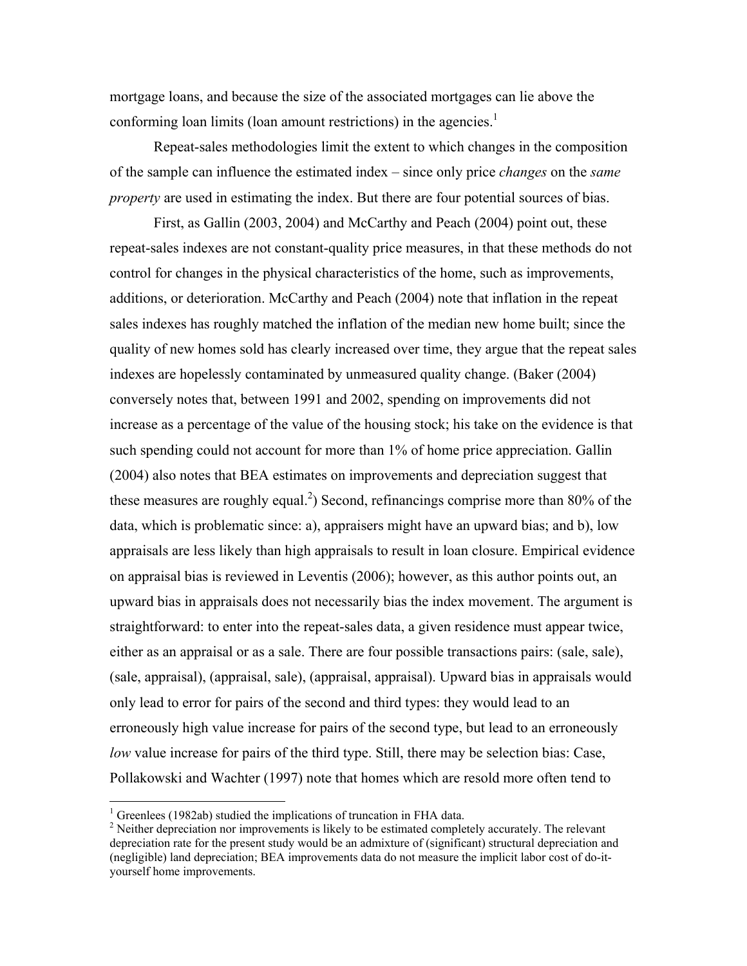mortgage loans, and because the size of the associated mortgages can lie above the conforming loan limits (loan amount restrictions) in the agencies.<sup>1</sup>

Repeat-sales methodologies limit the extent to which changes in the composition of the sample can influence the estimated index – since only price *changes* on the *same property* are used in estimating the index. But there are four potential sources of bias.

First, as Gallin (2003, 2004) and McCarthy and Peach (2004) point out, these repeat-sales indexes are not constant-quality price measures, in that these methods do not control for changes in the physical characteristics of the home, such as improvements, additions, or deterioration. McCarthy and Peach (2004) note that inflation in the repeat sales indexes has roughly matched the inflation of the median new home built; since the quality of new homes sold has clearly increased over time, they argue that the repeat sales indexes are hopelessly contaminated by unmeasured quality change. (Baker (2004) conversely notes that, between 1991 and 2002, spending on improvements did not increase as a percentage of the value of the housing stock; his take on the evidence is that such spending could not account for more than 1% of home price appreciation. Gallin (2004) also notes that BEA estimates on improvements and depreciation suggest that these measures are roughly equal.<sup>2</sup>) Second, refinancings comprise more than 80% of the data, which is problematic since: a), appraisers might have an upward bias; and b), low appraisals are less likely than high appraisals to result in loan closure. Empirical evidence on appraisal bias is reviewed in Leventis (2006); however, as this author points out, an upward bias in appraisals does not necessarily bias the index movement. The argument is straightforward: to enter into the repeat-sales data, a given residence must appear twice, either as an appraisal or as a sale. There are four possible transactions pairs: (sale, sale), (sale, appraisal), (appraisal, sale), (appraisal, appraisal). Upward bias in appraisals would only lead to error for pairs of the second and third types: they would lead to an erroneously high value increase for pairs of the second type, but lead to an erroneously *low* value increase for pairs of the third type. Still, there may be selection bias: Case, Pollakowski and Wachter (1997) note that homes which are resold more often tend to

 $\overline{a}$ 

<sup>&</sup>lt;sup>1</sup> Greenlees (1982ab) studied the implications of truncation in FHA data.

 $2$  Neither depreciation nor improvements is likely to be estimated completely accurately. The relevant depreciation rate for the present study would be an admixture of (significant) structural depreciation and (negligible) land depreciation; BEA improvements data do not measure the implicit labor cost of do-ityourself home improvements.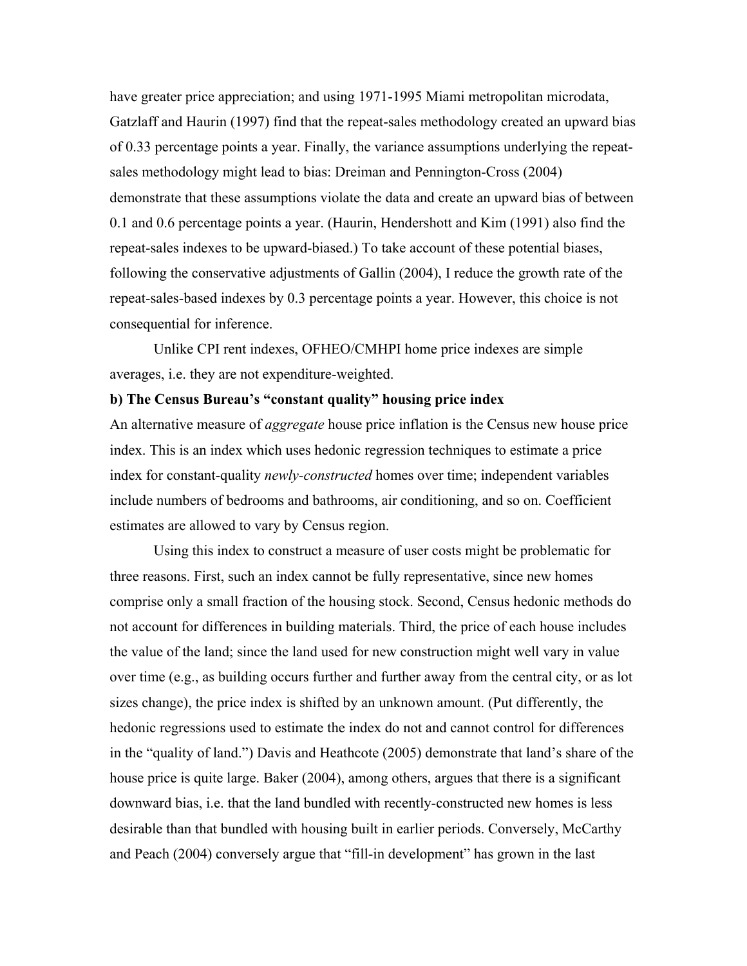have greater price appreciation; and using 1971-1995 Miami metropolitan microdata, Gatzlaff and Haurin (1997) find that the repeat-sales methodology created an upward bias of 0.33 percentage points a year. Finally, the variance assumptions underlying the repeatsales methodology might lead to bias: Dreiman and Pennington-Cross (2004) demonstrate that these assumptions violate the data and create an upward bias of between 0.1 and 0.6 percentage points a year. (Haurin, Hendershott and Kim (1991) also find the repeat-sales indexes to be upward-biased.) To take account of these potential biases, following the conservative adjustments of Gallin (2004), I reduce the growth rate of the repeat-sales-based indexes by 0.3 percentage points a year. However, this choice is not consequential for inference.

Unlike CPI rent indexes, OFHEO/CMHPI home price indexes are simple averages, i.e. they are not expenditure-weighted.

# **b) The Census Bureau's "constant quality" housing price index**

An alternative measure of *aggregate* house price inflation is the Census new house price index. This is an index which uses hedonic regression techniques to estimate a price index for constant-quality *newly-constructed* homes over time; independent variables include numbers of bedrooms and bathrooms, air conditioning, and so on. Coefficient estimates are allowed to vary by Census region.

Using this index to construct a measure of user costs might be problematic for three reasons. First, such an index cannot be fully representative, since new homes comprise only a small fraction of the housing stock. Second, Census hedonic methods do not account for differences in building materials. Third, the price of each house includes the value of the land; since the land used for new construction might well vary in value over time (e.g., as building occurs further and further away from the central city, or as lot sizes change), the price index is shifted by an unknown amount. (Put differently, the hedonic regressions used to estimate the index do not and cannot control for differences in the "quality of land.") Davis and Heathcote (2005) demonstrate that land's share of the house price is quite large. Baker (2004), among others, argues that there is a significant downward bias, i.e. that the land bundled with recently-constructed new homes is less desirable than that bundled with housing built in earlier periods. Conversely, McCarthy and Peach (2004) conversely argue that "fill-in development" has grown in the last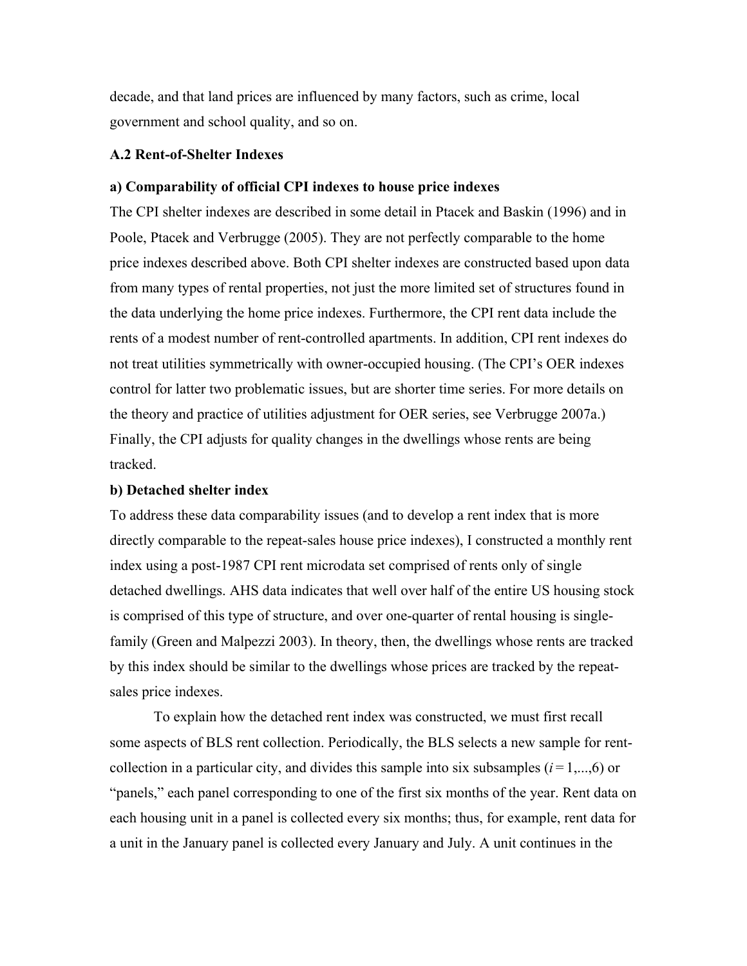decade, and that land prices are influenced by many factors, such as crime, local government and school quality, and so on.

# **A.2 Rent-of-Shelter Indexes**

# **a) Comparability of official CPI indexes to house price indexes**

The CPI shelter indexes are described in some detail in Ptacek and Baskin (1996) and in Poole, Ptacek and Verbrugge (2005). They are not perfectly comparable to the home price indexes described above. Both CPI shelter indexes are constructed based upon data from many types of rental properties, not just the more limited set of structures found in the data underlying the home price indexes. Furthermore, the CPI rent data include the rents of a modest number of rent-controlled apartments. In addition, CPI rent indexes do not treat utilities symmetrically with owner-occupied housing. (The CPI's OER indexes control for latter two problematic issues, but are shorter time series. For more details on the theory and practice of utilities adjustment for OER series, see Verbrugge 2007a.) Finally, the CPI adjusts for quality changes in the dwellings whose rents are being tracked.

# **b) Detached shelter index**

To address these data comparability issues (and to develop a rent index that is more directly comparable to the repeat-sales house price indexes), I constructed a monthly rent index using a post-1987 CPI rent microdata set comprised of rents only of single detached dwellings. AHS data indicates that well over half of the entire US housing stock is comprised of this type of structure, and over one-quarter of rental housing is singlefamily (Green and Malpezzi 2003). In theory, then, the dwellings whose rents are tracked by this index should be similar to the dwellings whose prices are tracked by the repeatsales price indexes.

To explain how the detached rent index was constructed, we must first recall some aspects of BLS rent collection. Periodically, the BLS selects a new sample for rentcollection in a particular city, and divides this sample into six subsamples  $(i = 1, \ldots, 6)$  or "panels," each panel corresponding to one of the first six months of the year. Rent data on each housing unit in a panel is collected every six months; thus, for example, rent data for a unit in the January panel is collected every January and July. A unit continues in the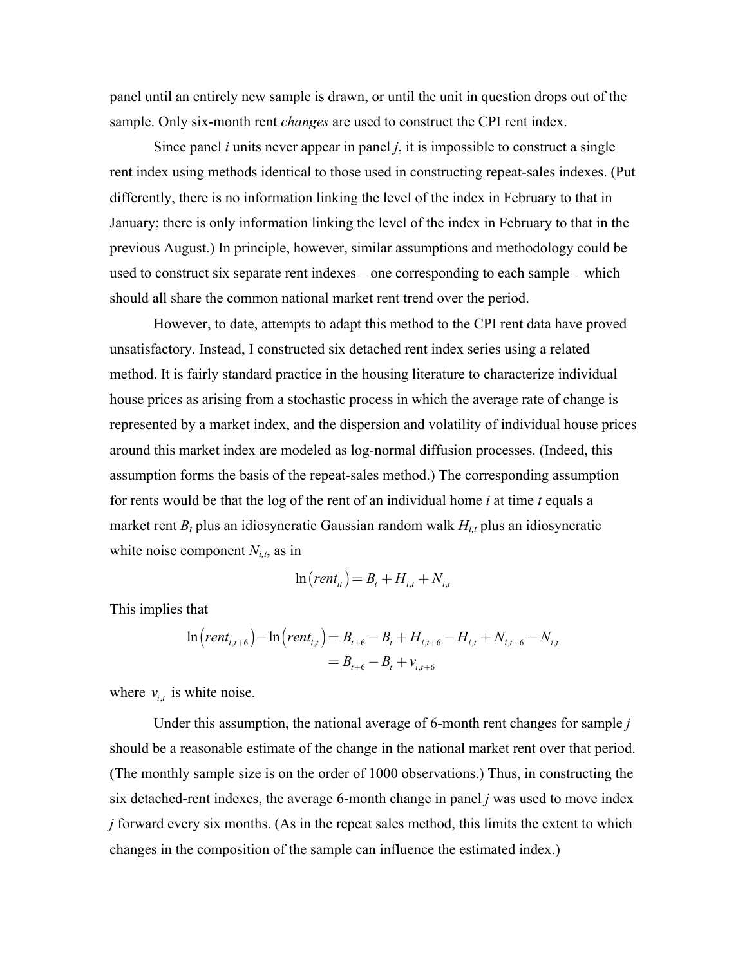panel until an entirely new sample is drawn, or until the unit in question drops out of the sample. Only six-month rent *changes* are used to construct the CPI rent index.

Since panel *i* units never appear in panel *j*, it is impossible to construct a single rent index using methods identical to those used in constructing repeat-sales indexes. (Put differently, there is no information linking the level of the index in February to that in January; there is only information linking the level of the index in February to that in the previous August.) In principle, however, similar assumptions and methodology could be used to construct six separate rent indexes – one corresponding to each sample – which should all share the common national market rent trend over the period.

However, to date, attempts to adapt this method to the CPI rent data have proved unsatisfactory. Instead, I constructed six detached rent index series using a related method. It is fairly standard practice in the housing literature to characterize individual house prices as arising from a stochastic process in which the average rate of change is represented by a market index, and the dispersion and volatility of individual house prices around this market index are modeled as log-normal diffusion processes. (Indeed, this assumption forms the basis of the repeat-sales method.) The corresponding assumption for rents would be that the log of the rent of an individual home *i* at time *t* equals a market rent  $B_t$  plus an idiosyncratic Gaussian random walk  $H_{i,t}$  plus an idiosyncratic white noise component  $N_{i,t}$ , as in

$$
\ln(\text{rent}_{it}) = B_t + H_{i,t} + N_{i,t}
$$

This implies that

$$
\ln\left(rent_{i,t+6}\right) - \ln\left(rent_{i,t}\right) = B_{i+6} - B_{i} + H_{i,t+6} - H_{i,t} + N_{i,t+6} - N_{i,t}
$$

$$
= B_{i+6} - B_{i} + \nu_{i,t+6}
$$

where  $v_{i,t}$  is white noise.

Under this assumption, the national average of 6-month rent changes for sample *j* should be a reasonable estimate of the change in the national market rent over that period. (The monthly sample size is on the order of 1000 observations.) Thus, in constructing the six detached-rent indexes, the average 6-month change in panel *j* was used to move index *j* forward every six months. (As in the repeat sales method, this limits the extent to which changes in the composition of the sample can influence the estimated index.)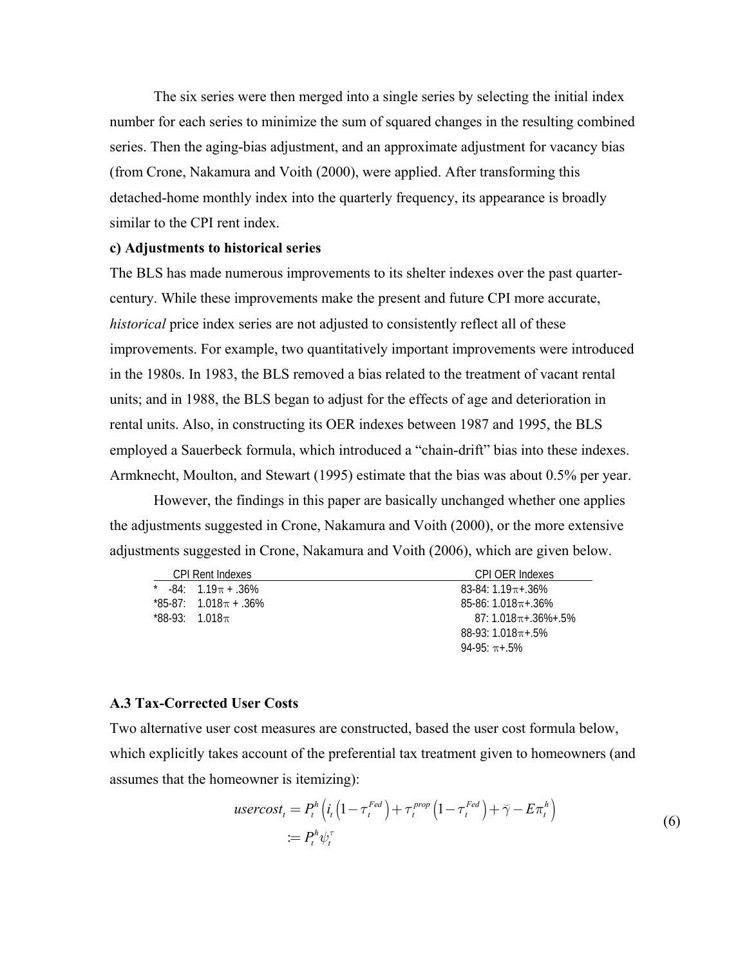The six series were then merged into a single series by selecting the initial index number for each series to minimize the sum of squared changes in the resulting combined series. Then the aging-bias adjustment, and an approximate adjustment for vacancy bias (from Crone, Nakamura and Voith (2000), were applied. After transforming this detached-home monthly index into the quarterly frequency, its appearance is broadly similar to the CPI rent index.

# **c) Adjustments to historical series**

The BLS has made numerous improvements to its shelter indexes over the past quartercentury. While these improvements make the present and future CPI more accurate, *historical* price index series are not adjusted to consistently reflect all of these improvements. For example, two quantitatively important improvements were introduced in the 1980s. In 1983, the BLS removed a bias related to the treatment of vacant rental units; and in 1988, the BLS began to adjust for the effects of age and deterioration in rental units. Also, in constructing its OER indexes between 1987 and 1995, the BLS employed a Sauerbeck formula, which introduced a "chain-drift" bias into these indexes. Armknecht, Moulton, and Stewart (1995) estimate that the bias was about 0.5% per year.

However, the findings in this paper are basically unchanged whether one applies the adjustments suggested in Crone, Nakamura and Voith (2000), or the more extensive adjustments suggested in Crone, Nakamura and Voith (2006), which are given below.

| CPI Rent Indexes   |                               | CPLOFR Indexes           |
|--------------------|-------------------------------|--------------------------|
|                    | * $-84$ : $1.19\pi + .36\%$   | $83-84:1.19\pi+.36\%$    |
|                    | $*85-87$ : 1.018 $\pi$ + .36% | $85-86:1.018\pi+.36\%$   |
| $*88-93: 1.018\pi$ |                               | $87:1.018\pi+.36\%+.5\%$ |
|                    |                               | $88-93:1.018\pi+.5\%$    |
|                    |                               | 94-95: $\pi$ +.5%        |

# **A.3 Tax-Corrected User Costs**

Two alternative user cost measures are constructed, based the user cost formula below, which explicitly takes account of the preferential tax treatment given to homeowners (and assumes that the homeowner is itemizing):

$$
usercost_t = P_t^h \left( i_t \left( 1 - \tau_t^{Fed} \right) + \tau_t^{prop} \left( 1 - \tau_t^{Fed} \right) + \tilde{\gamma} - E \pi_t^h \right)
$$
  
 := 
$$
P_t^h \psi_t^{\tau}
$$
 (6)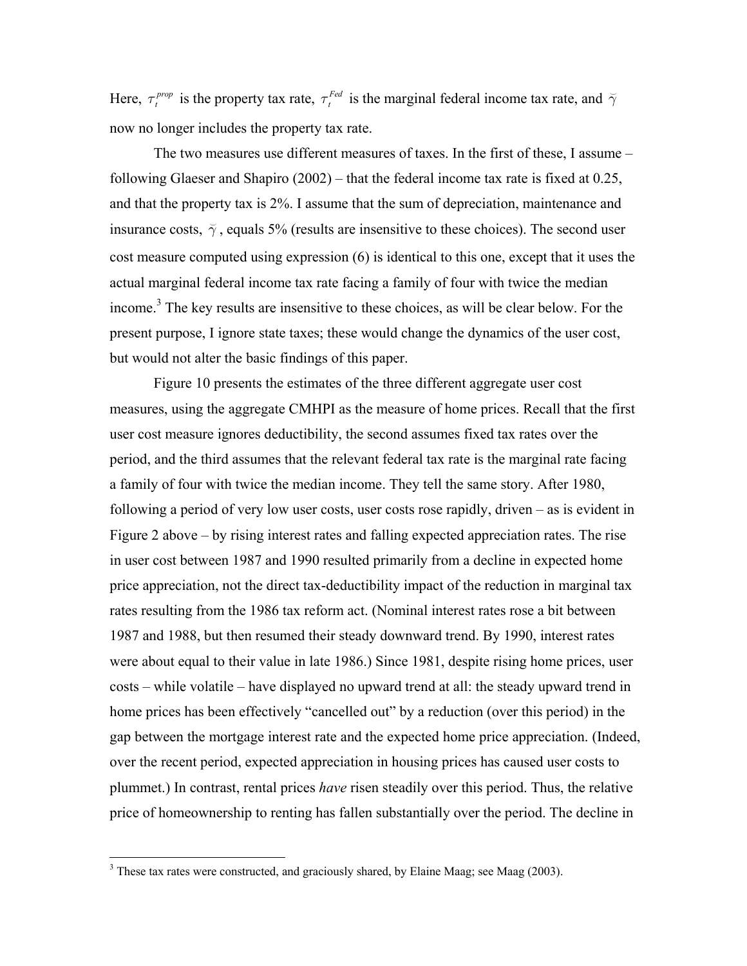Here,  $\tau_t^{prop}$  is the property tax rate,  $\tau_t^{Fed}$  is the marginal federal income tax rate, and  $\breve{\gamma}$ now no longer includes the property tax rate.

The two measures use different measures of taxes. In the first of these, I assume – following Glaeser and Shapiro (2002) – that the federal income tax rate is fixed at 0.25, and that the property tax is 2%. I assume that the sum of depreciation, maintenance and insurance costs,  $\tilde{\gamma}$ , equals 5% (results are insensitive to these choices). The second user cost measure computed using expression (6) is identical to this one, except that it uses the actual marginal federal income tax rate facing a family of four with twice the median income.<sup>3</sup> The key results are insensitive to these choices, as will be clear below. For the present purpose, I ignore state taxes; these would change the dynamics of the user cost, but would not alter the basic findings of this paper.

Figure 10 presents the estimates of the three different aggregate user cost measures, using the aggregate CMHPI as the measure of home prices. Recall that the first user cost measure ignores deductibility, the second assumes fixed tax rates over the period, and the third assumes that the relevant federal tax rate is the marginal rate facing a family of four with twice the median income. They tell the same story. After 1980, following a period of very low user costs, user costs rose rapidly, driven – as is evident in Figure 2 above – by rising interest rates and falling expected appreciation rates. The rise in user cost between 1987 and 1990 resulted primarily from a decline in expected home price appreciation, not the direct tax-deductibility impact of the reduction in marginal tax rates resulting from the 1986 tax reform act. (Nominal interest rates rose a bit between 1987 and 1988, but then resumed their steady downward trend. By 1990, interest rates were about equal to their value in late 1986.) Since 1981, despite rising home prices, user costs – while volatile – have displayed no upward trend at all: the steady upward trend in home prices has been effectively "cancelled out" by a reduction (over this period) in the gap between the mortgage interest rate and the expected home price appreciation. (Indeed, over the recent period, expected appreciation in housing prices has caused user costs to plummet.) In contrast, rental prices *have* risen steadily over this period. Thus, the relative price of homeownership to renting has fallen substantially over the period. The decline in

<u>.</u>

 $3$  These tax rates were constructed, and graciously shared, by Elaine Maag; see Maag (2003).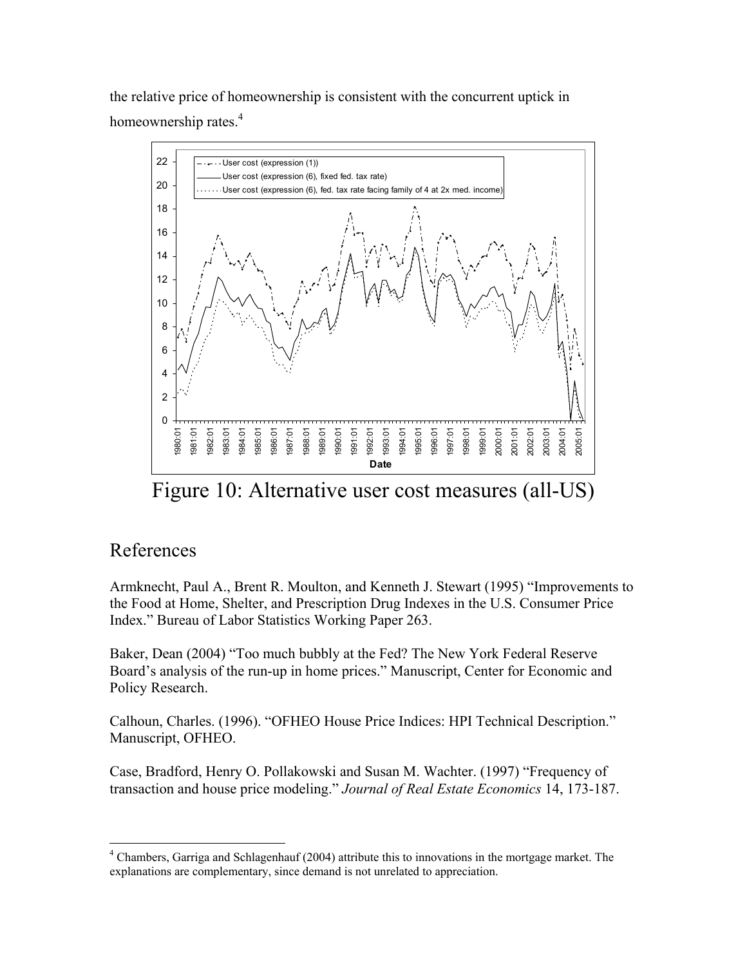the relative price of homeownership is consistent with the concurrent uptick in homeownership rates.<sup>4</sup>



Figure 10: Alternative user cost measures (all-US)

# References

1

Armknecht, Paul A., Brent R. Moulton, and Kenneth J. Stewart (1995) "Improvements to the Food at Home, Shelter, and Prescription Drug Indexes in the U.S. Consumer Price Index." Bureau of Labor Statistics Working Paper 263.

Baker, Dean (2004) "Too much bubbly at the Fed? The New York Federal Reserve Board's analysis of the run-up in home prices." Manuscript, Center for Economic and Policy Research.

Calhoun, Charles. (1996). "OFHEO House Price Indices: HPI Technical Description." Manuscript, OFHEO.

Case, Bradford, Henry O. Pollakowski and Susan M. Wachter. (1997) "Frequency of transaction and house price modeling." *Journal of Real Estate Economics* 14, 173-187.

<sup>&</sup>lt;sup>4</sup> Chambers, Garriga and Schlagenhauf (2004) attribute this to innovations in the mortgage market. The explanations are complementary, since demand is not unrelated to appreciation.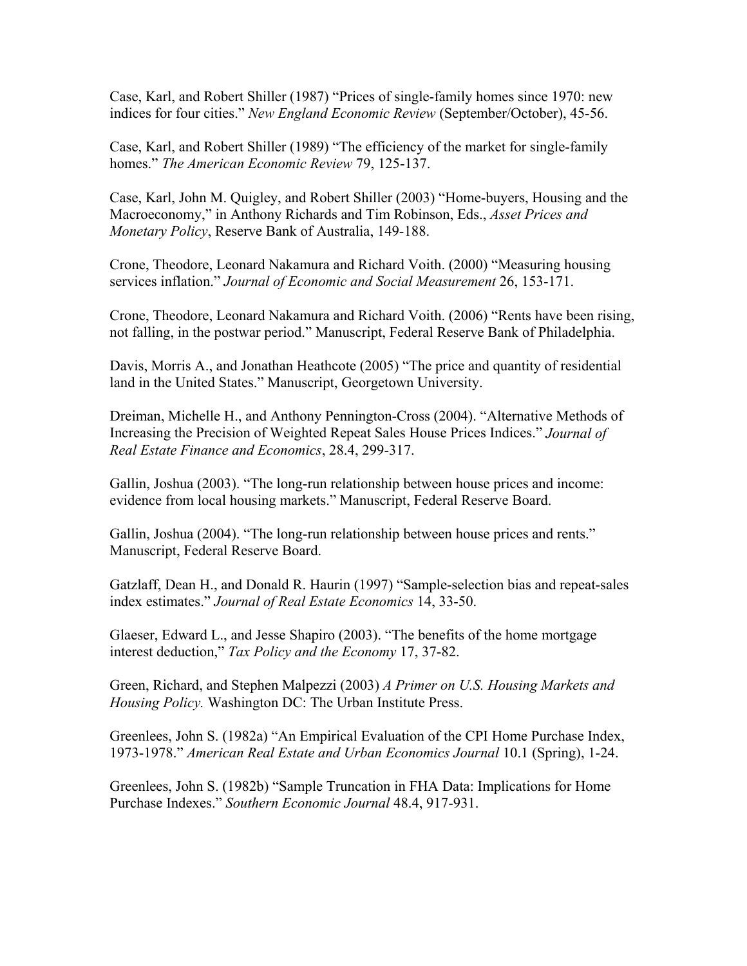Case, Karl, and Robert Shiller (1987) "Prices of single-family homes since 1970: new indices for four cities." *New England Economic Review* (September/October), 45-56.

Case, Karl, and Robert Shiller (1989) "The efficiency of the market for single-family homes." *The American Economic Review* 79, 125-137.

Case, Karl, John M. Quigley, and Robert Shiller (2003) "Home-buyers, Housing and the Macroeconomy," in Anthony Richards and Tim Robinson, Eds., *Asset Prices and Monetary Policy*, Reserve Bank of Australia, 149-188.

Crone, Theodore, Leonard Nakamura and Richard Voith. (2000) "Measuring housing services inflation." *Journal of Economic and Social Measurement* 26, 153-171.

Crone, Theodore, Leonard Nakamura and Richard Voith. (2006) "Rents have been rising, not falling, in the postwar period." Manuscript, Federal Reserve Bank of Philadelphia.

Davis, Morris A., and Jonathan Heathcote (2005) "The price and quantity of residential land in the United States." Manuscript, Georgetown University.

Dreiman, Michelle H., and Anthony Pennington-Cross (2004). "Alternative Methods of Increasing the Precision of Weighted Repeat Sales House Prices Indices." *Journal of Real Estate Finance and Economics*, 28.4, 299-317.

Gallin, Joshua (2003). "The long-run relationship between house prices and income: evidence from local housing markets." Manuscript, Federal Reserve Board.

Gallin, Joshua (2004). "The long-run relationship between house prices and rents." Manuscript, Federal Reserve Board.

Gatzlaff, Dean H., and Donald R. Haurin (1997) "Sample-selection bias and repeat-sales index estimates." *Journal of Real Estate Economics* 14, 33-50.

Glaeser, Edward L., and Jesse Shapiro (2003). "The benefits of the home mortgage interest deduction," *Tax Policy and the Economy* 17, 37-82.

Green, Richard, and Stephen Malpezzi (2003) *A Primer on U.S. Housing Markets and Housing Policy.* Washington DC: The Urban Institute Press.

Greenlees, John S. (1982a) "An Empirical Evaluation of the CPI Home Purchase Index, 1973-1978." *American Real Estate and Urban Economics Journal* 10.1 (Spring), 1-24.

Greenlees, John S. (1982b) "Sample Truncation in FHA Data: Implications for Home Purchase Indexes." *Southern Economic Journal* 48.4, 917-931.